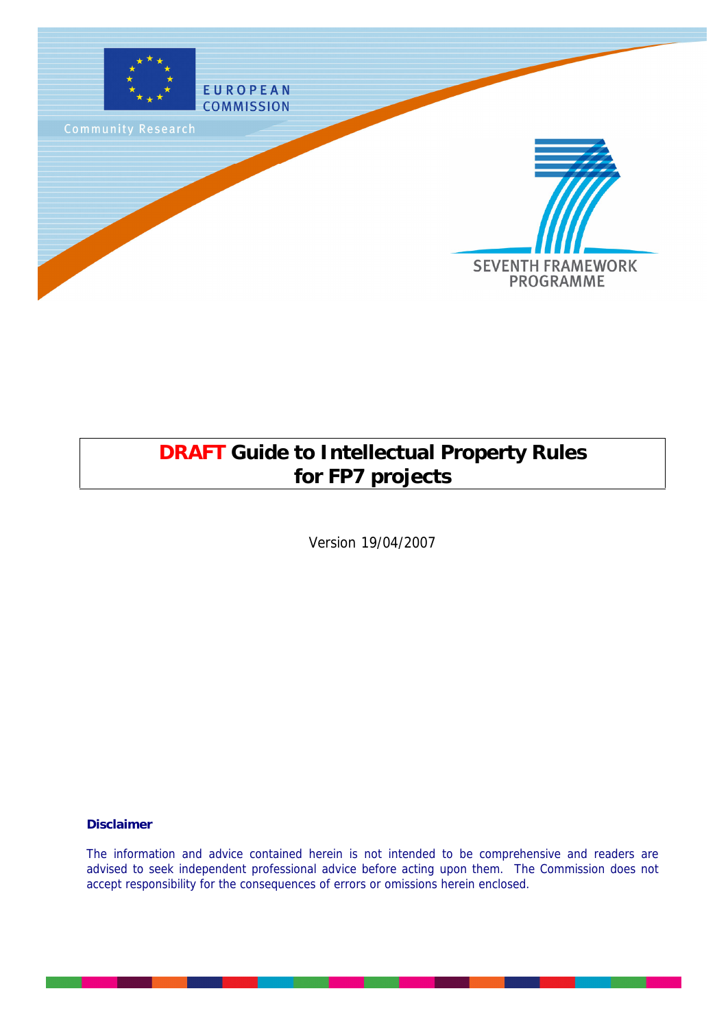

# **DRAFT Guide to Intellectual Property Rules for FP7 projects**

Version 19/04/2007

**Disclaimer**

The information and advice contained herein is not intended to be comprehensive and readers are advised to seek independent professional advice before acting upon them. The Commission does not accept responsibility for the consequences of errors or omissions herein enclosed.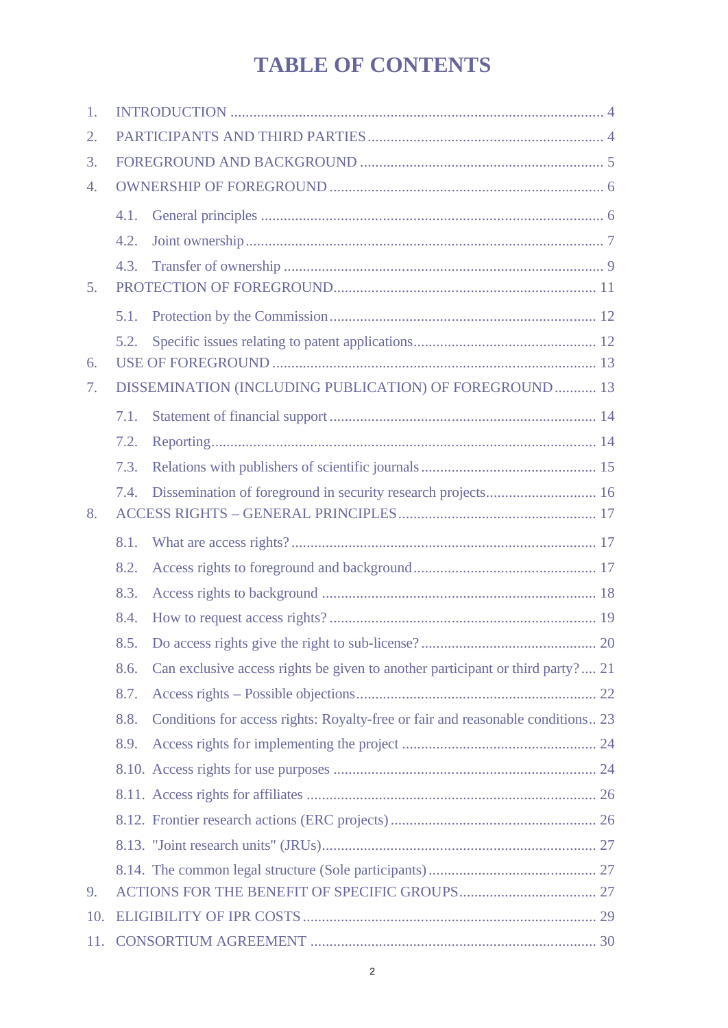# **TABLE OF CONTENTS**

| 1.               |      |                                                                                 |  |  |
|------------------|------|---------------------------------------------------------------------------------|--|--|
| $\overline{2}$ . |      |                                                                                 |  |  |
| 3.               |      |                                                                                 |  |  |
| $\overline{4}$ . |      |                                                                                 |  |  |
|                  | 4.1. |                                                                                 |  |  |
|                  | 4.2. |                                                                                 |  |  |
|                  | 4.3. |                                                                                 |  |  |
| 5.               |      |                                                                                 |  |  |
|                  | 5.1. |                                                                                 |  |  |
|                  | 5.2. |                                                                                 |  |  |
| 6.               |      |                                                                                 |  |  |
| 7.               |      | DISSEMINATION (INCLUDING PUBLICATION) OF FOREGROUND 13                          |  |  |
|                  | 7.1. |                                                                                 |  |  |
|                  | 7.2. |                                                                                 |  |  |
|                  | 7.3. |                                                                                 |  |  |
|                  | 7.4. | Dissemination of foreground in security research projects 16                    |  |  |
| 8.               |      |                                                                                 |  |  |
|                  |      |                                                                                 |  |  |
|                  | 8.1. |                                                                                 |  |  |
|                  | 8.2. |                                                                                 |  |  |
|                  | 8.3. |                                                                                 |  |  |
|                  | 8.4. |                                                                                 |  |  |
|                  | 8.5. |                                                                                 |  |  |
|                  | 8.6. | Can exclusive access rights be given to another participant or third party? 21  |  |  |
|                  | 8.7. |                                                                                 |  |  |
|                  | 8.8. | Conditions for access rights: Royalty-free or fair and reasonable conditions 23 |  |  |
|                  | 8.9. |                                                                                 |  |  |
|                  |      |                                                                                 |  |  |
|                  |      |                                                                                 |  |  |
|                  |      |                                                                                 |  |  |
|                  |      |                                                                                 |  |  |
|                  |      |                                                                                 |  |  |
| 9.               |      |                                                                                 |  |  |
| 10.              |      |                                                                                 |  |  |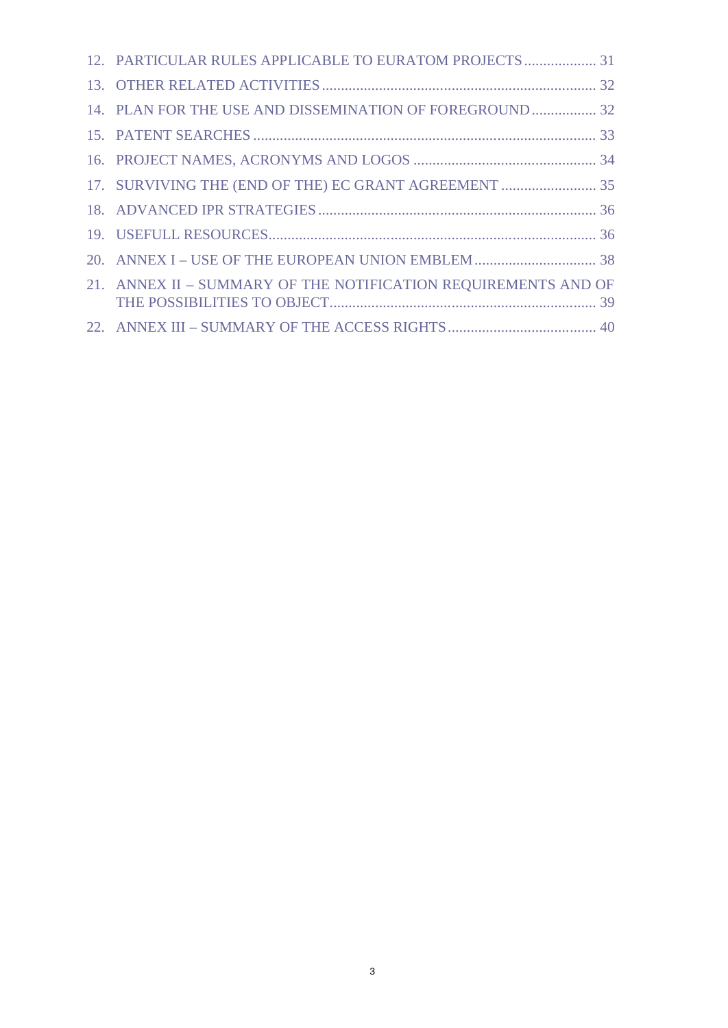| 12. PARTICULAR RULES APPLICABLE TO EURATOM PROJECTS  31        |  |
|----------------------------------------------------------------|--|
|                                                                |  |
| 14. PLAN FOR THE USE AND DISSEMINATION OF FOREGROUND 32        |  |
|                                                                |  |
|                                                                |  |
| 17. SURVIVING THE (END OF THE) EC GRANT AGREEMENT  35          |  |
|                                                                |  |
|                                                                |  |
|                                                                |  |
| 21. ANNEX II - SUMMARY OF THE NOTIFICATION REQUIREMENTS AND OF |  |
|                                                                |  |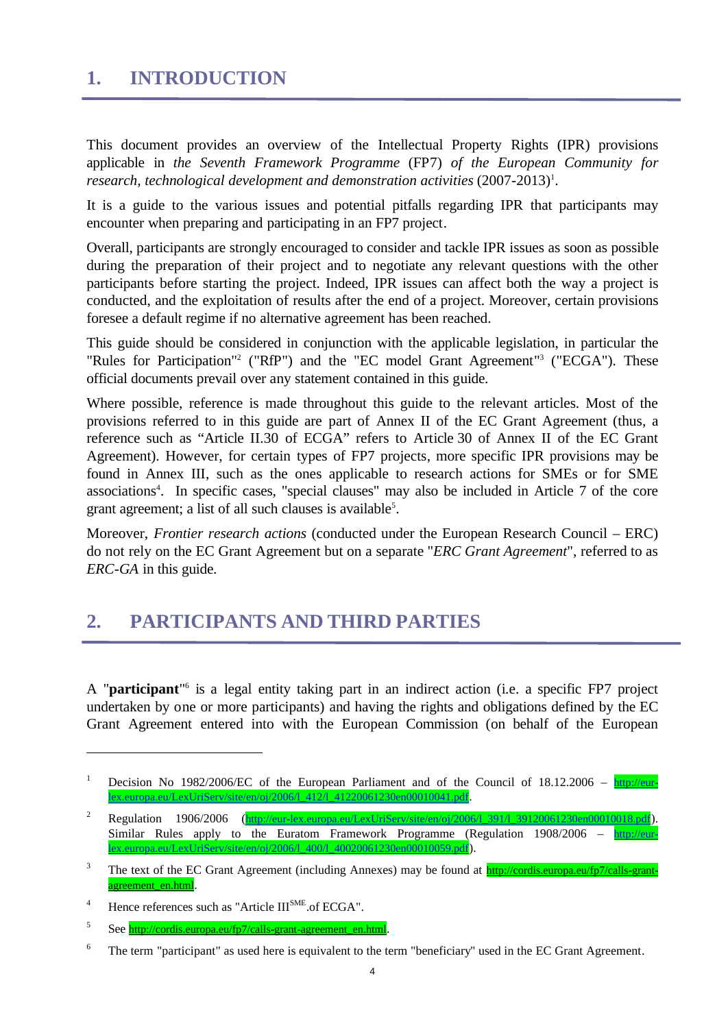## **1. INTRODUCTION**

This document provides an overview of the Intellectual Property Rights (IPR) provisions applicable in *the Seventh Framework Programme* (FP7) *of the European Community for* research, technological development and demonstration activities (2007-2013)<sup>1</sup>.

It is a guide to the various issues and potential pitfalls regarding IPR that participants may encounter when preparing and participating in an FP7 project.

Overall, participants are strongly encouraged to consider and tackle IPR issues as soon as possible during the preparation of their project and to negotiate any relevant questions with the other participants before starting the project. Indeed, IPR issues can affect both the way a project is conducted, and the exploitation of results after the end of a project. Moreover, certain provisions foresee a default regime if no alternative agreement has been reached.

This guide should be considered in conjunction with the applicable legislation, in particular the "Rules for Participation"<sup>2</sup> ("RfP") and the "EC model Grant Agreement"<sup>3</sup> ("ECGA"). These official documents prevail over any statement contained in this guide.

Where possible, reference is made throughout this guide to the relevant articles. Most of the provisions referred to in this guide are part of Annex II of the EC Grant Agreement (thus, a reference such as "Article II.30 of ECGA" refers to Article 30 of Annex II of the EC Grant Agreement). However, for certain types of FP7 projects, more specific IPR provisions may be found in Annex III, such as the ones applicable to research actions for SMEs or for SME associations<sup>4</sup>. In specific cases, "special clauses" may also be included in Article 7 of the core grant agreement; a list of all such clauses is available<sup>5</sup>.

Moreover, *Frontier research actions* (conducted under the European Research Council – ERC) do not rely on the EC Grant Agreement but on a separate "*ERC Grant Agreement*", referred to as *ERC-GA* in this guide.

## **2. PARTICIPANTS AND THIRD PARTIES**

A "**participant**"<sup>6</sup> is a legal entity taking part in an indirect action (i.e. a specific FP7 project undertaken by one or more participants) and having the rights and obligations defined by the EC Grant Agreement entered into with the European Commission (on behalf of the European

<sup>&</sup>lt;sup>1</sup> Decision No 1982/2006/EC of the European Parliament and of the Council of 18.12.2006 –  $\frac{\text{http://eur-}}{\text{http://eur-}}$ lex.europa.eu/LexUriServ/site/en/oj/2006/l\_412/l\_41220061230en00010041.pdf.

Regulation 1906/2006 (http://eur-lex.europa.eu/LexUriServ/site/en/oj/2006/l\_391/l\_39120061230en00010018.pdf). Similar Rules apply to the Euratom Framework Programme (Regulation 1908/2006 – http://eurlex.europa.eu/LexUriServ/site/en/oj/2006/l\_400/l\_40020061230en00010059.pdf).

<sup>&</sup>lt;sup>3</sup> The text of the EC Grant Agreement (including Annexes) may be found at **http://cordis.europa.eu/fp7/calls-grant**agreement\_en.html.

<sup>&</sup>lt;sup>4</sup> Hence references such as "Article III<sup>SME</sup>.of ECGA".

<sup>5</sup> See http://cordis.europa.eu/fp7/calls-grant-agreement\_en.html.

<sup>&</sup>lt;sup>6</sup> The term "participant" as used here is equivalent to the term "beneficiary" used in the EC Grant Agreement.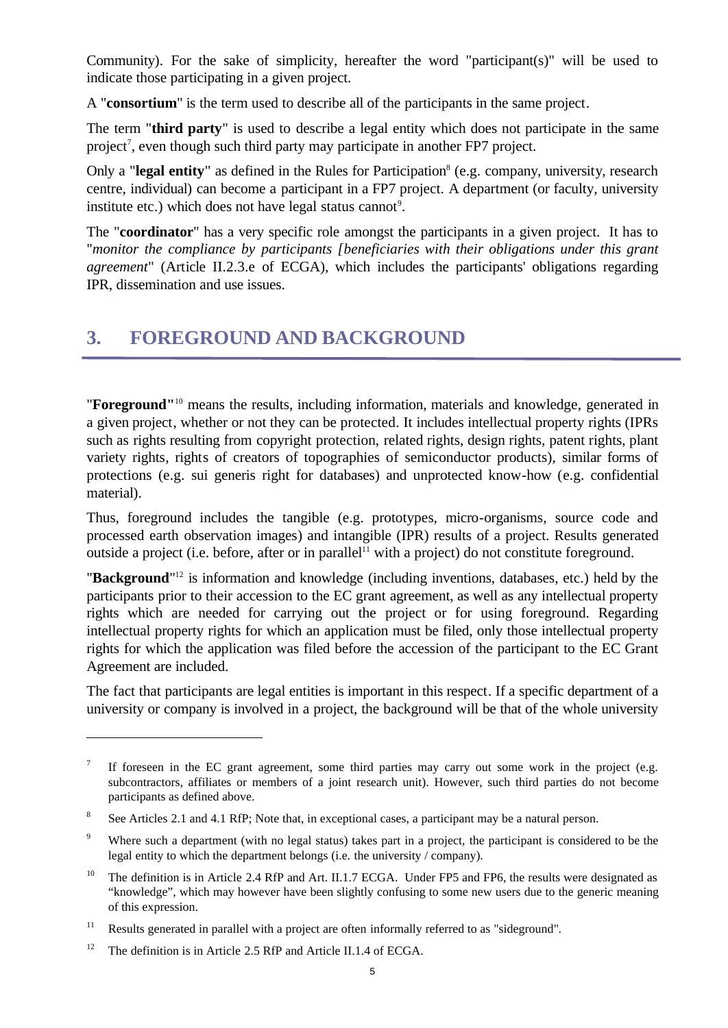Community). For the sake of simplicity, hereafter the word "participant(s)" will be used to indicate those participating in a given project.

A "**consortium**" is the term used to describe all of the participants in the same project.

The term "**third party**" is used to describe a legal entity which does not participate in the same project<sup>7</sup>, even though such third party may participate in another FP7 project.

Only a "legal entity" as defined in the Rules for Participation<sup>8</sup> (e.g. company, university, research centre, individual) can become a participant in a FP7 project. A department (or faculty, university institute etc.) which does not have legal status cannot<sup>9</sup>.

The "**coordinator**" has a very specific role amongst the participants in a given project. It has to "*monitor the compliance by participants [beneficiaries with their obligations under this grant agreement*" (Article II.2.3.e of ECGA), which includes the participants' obligations regarding IPR, dissemination and use issues.

## **3. FOREGROUND AND BACKGROUND**

"**Foreground"** <sup>10</sup> means the results, including information, materials and knowledge, generated in a given project, whether or not they can be protected. It includes intellectual property rights (IPRs such as rights resulting from copyright protection, related rights, design rights, patent rights, plant variety rights, rights of creators of topographies of semiconductor products), similar forms of protections (e.g. sui generis right for databases) and unprotected know-how (e.g. confidential material).

Thus, foreground includes the tangible (e.g. prototypes, micro-organisms, source code and processed earth observation images) and intangible (IPR) results of a project. Results generated outside a project (i.e. before, after or in parallel<sup>11</sup> with a project) do not constitute foreground.

"Background"<sup>12</sup> is information and knowledge (including inventions, databases, etc.) held by the participants prior to their accession to the EC grant agreement, as well as any intellectual property rights which are needed for carrying out the project or for using foreground. Regarding intellectual property rights for which an application must be filed, only those intellectual property rights for which the application was filed before the accession of the participant to the EC Grant Agreement are included.

The fact that participants are legal entities is important in this respect. If a specific department of a university or company is involved in a project, the background will be that of the whole university

<sup>7</sup> If foreseen in the EC grant agreement, some third parties may carry out some work in the project (e.g. subcontractors, affiliates or members of a joint research unit). However, such third parties do not become participants as defined above.

<sup>8</sup> See Articles 2.1 and 4.1 RfP; Note that, in exceptional cases, a participant may be a natural person.

<sup>&</sup>lt;sup>9</sup> Where such a department (with no legal status) takes part in a project, the participant is considered to be the legal entity to which the department belongs (i.e. the university / company).

<sup>&</sup>lt;sup>10</sup> The definition is in Article 2.4 RfP and Art. II.1.7 ECGA. Under FP5 and FP6, the results were designated as "knowledge", which may however have been slightly confusing to some new users due to the generic meaning of this expression.

<sup>&</sup>lt;sup>11</sup> Results generated in parallel with a project are often informally referred to as "sideground".

<sup>&</sup>lt;sup>12</sup> The definition is in Article 2.5 RfP and Article II.1.4 of ECGA.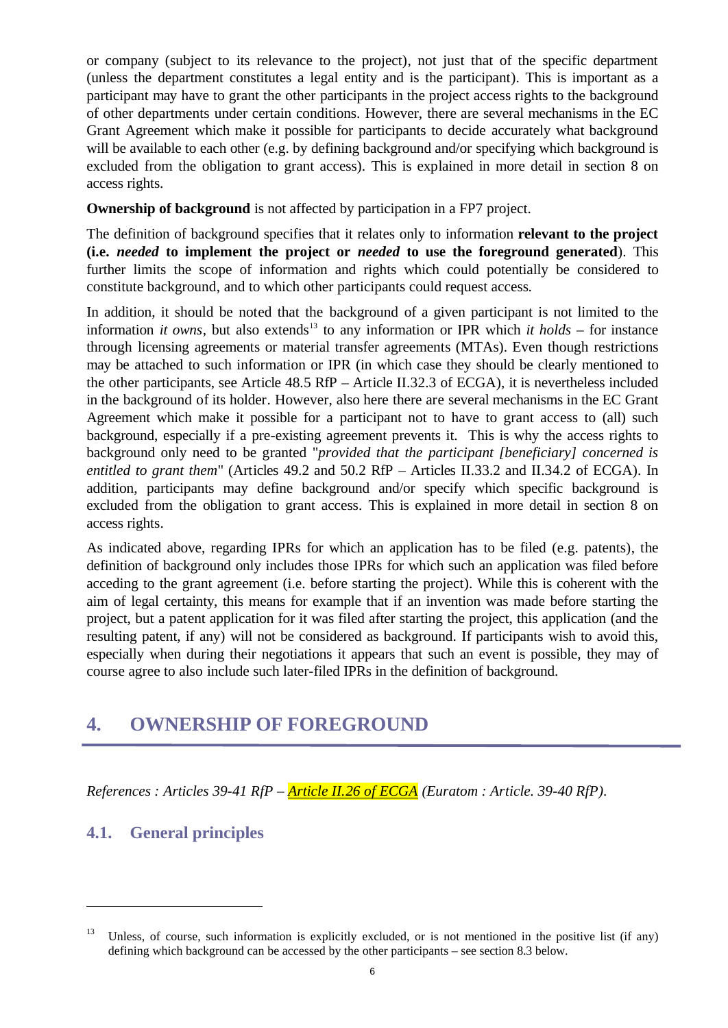or company (subject to its relevance to the project), not just that of the specific department (unless the department constitutes a legal entity and is the participant). This is important as a participant may have to grant the other participants in the project access rights to the background of other departments under certain conditions. However, there are several mechanisms in the EC Grant Agreement which make it possible for participants to decide accurately what background will be available to each other (e.g. by defining background and/or specifying which background is excluded from the obligation to grant access). This is explained in more detail in section 8 on access rights.

**Ownership of background** is not affected by participation in a FP7 project.

The definition of background specifies that it relates only to information **relevant to the project (i.e.** *needed* **to implement the project or** *needed* **to use the foreground generated**). This further limits the scope of information and rights which could potentially be considered to constitute background, and to which other participants could request access.

In addition, it should be noted that the background of a given participant is not limited to the information *it owns*, but also extends<sup>13</sup> to any information or IPR which *it holds* – for instance through licensing agreements or material transfer agreements (MTAs). Even though restrictions may be attached to such information or IPR (in which case they should be clearly mentioned to the other participants, see Article 48.5 RfP – Article II.32.3 of ECGA), it is nevertheless included in the background of its holder. However, also here there are several mechanisms in the EC Grant Agreement which make it possible for a participant not to have to grant access to (all) such background, especially if a pre-existing agreement prevents it. This is why the access rights to background only need to be granted "*provided that the participant [beneficiary] concerned is entitled to grant them*" (Articles 49.2 and 50.2 RfP – Articles II.33.2 and II.34.2 of ECGA). In addition, participants may define background and/or specify which specific background is excluded from the obligation to grant access. This is explained in more detail in section 8 on access rights.

As indicated above, regarding IPRs for which an application has to be filed (e.g. patents), the definition of background only includes those IPRs for which such an application was filed before acceding to the grant agreement (i.e. before starting the project). While this is coherent with the aim of legal certainty, this means for example that if an invention was made before starting the project, but a patent application for it was filed after starting the project, this application (and the resulting patent, if any) will not be considered as background. If participants wish to avoid this, especially when during their negotiations it appears that such an event is possible, they may of course agree to also include such later-filed IPRs in the definition of background.

## **4. OWNERSHIP OF FOREGROUND**

*References : Articles 39-41 RfP – Article II.26 of ECGA (Euratom : Article. 39-40 RfP).*

### **4.1. General principles**

<sup>&</sup>lt;sup>13</sup> Unless, of course, such information is explicitly excluded, or is not mentioned in the positive list (if any) defining which background can be accessed by the other participants – see section 8.3 below.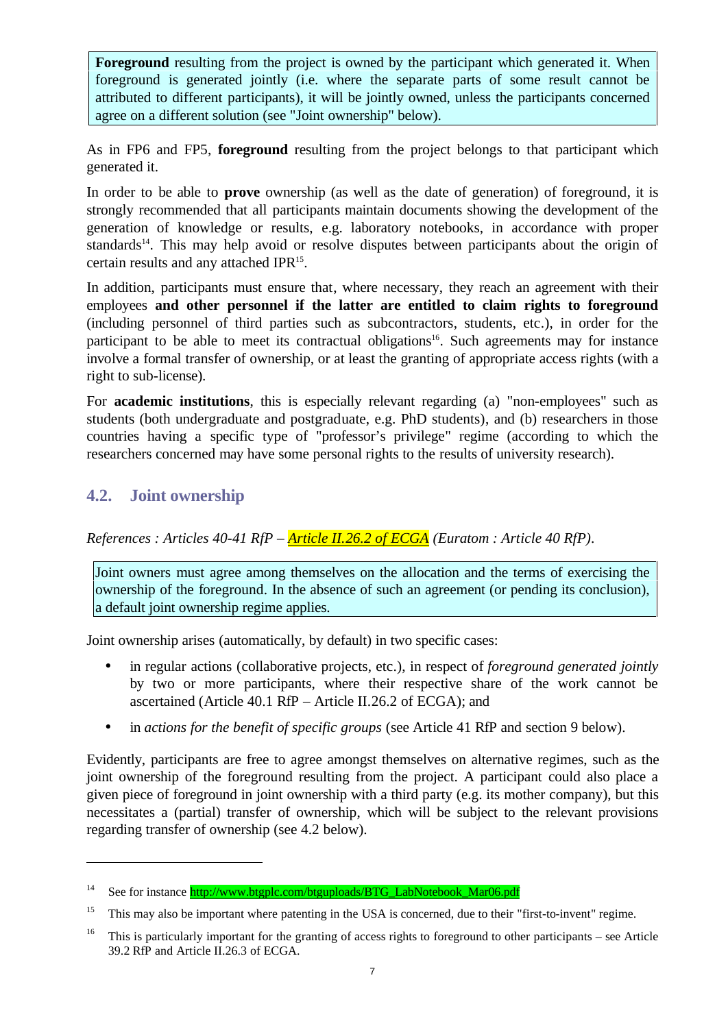**Foreground** resulting from the project is owned by the participant which generated it. When foreground is generated jointly (i.e. where the separate parts of some result cannot be attributed to different participants), it will be jointly owned, unless the participants concerned agree on a different solution (see "Joint ownership" below).

As in FP6 and FP5, **foreground** resulting from the project belongs to that participant which generated it.

In order to be able to **prove** ownership (as well as the date of generation) of foreground, it is strongly recommended that all participants maintain documents showing the development of the generation of knowledge or results, e.g. laboratory notebooks, in accordance with proper standards<sup>14</sup>. This may help avoid or resolve disputes between participants about the origin of certain results and any attached IPR<sup>15</sup>.

In addition, participants must ensure that, where necessary, they reach an agreement with their employees **and other personnel if the latter are entitled to claim rights to foreground** (including personnel of third parties such as subcontractors, students, etc.), in order for the participant to be able to meet its contractual obligations<sup>16</sup>. Such agreements may for instance involve a formal transfer of ownership, or at least the granting of appropriate access rights (with a right to sub-license).

For **academic institutions**, this is especially relevant regarding (a) "non-employees" such as students (both undergraduate and postgraduate, e.g. PhD students), and (b) researchers in those countries having a specific type of "professor's privilege" regime (according to which the researchers concerned may have some personal rights to the results of university research).

### **4.2. Joint ownership**

<u>.</u>

*References : Articles 40-41 RfP – Article II.26.2 of ECGA (Euratom : Article 40 RfP).*

Joint owners must agree among themselves on the allocation and the terms of exercising the ownership of the foreground. In the absence of such an agreement (or pending its conclusion), a default joint ownership regime applies.

Joint ownership arises (automatically, by default) in two specific cases:

- in regular actions (collaborative projects, etc.), in respect of *foreground generated jointly* by two or more participants, where their respective share of the work cannot be ascertained (Article 40.1 RfP – Article II.26.2 of ECGA); and
- in *actions for the benefit of specific groups* (see Article 41 RfP and section 9 below).

Evidently, participants are free to agree amongst themselves on alternative regimes, such as the joint ownership of the foreground resulting from the project. A participant could also place a given piece of foreground in joint ownership with a third party (e.g. its mother company), but this necessitates a (partial) transfer of ownership, which will be subject to the relevant provisions regarding transfer of ownership (see 4.2 below).

<sup>&</sup>lt;sup>14</sup> See for instance http://www.btgplc.com/btguploads/BTG\_LabNotebook\_Mar06.pdf

<sup>&</sup>lt;sup>15</sup> This may also be important where patenting in the USA is concerned, due to their "first-to-invent" regime.

<sup>&</sup>lt;sup>16</sup> This is particularly important for the granting of access rights to foreground to other participants – see Article 39.2 RfP and Article II.26.3 of ECGA.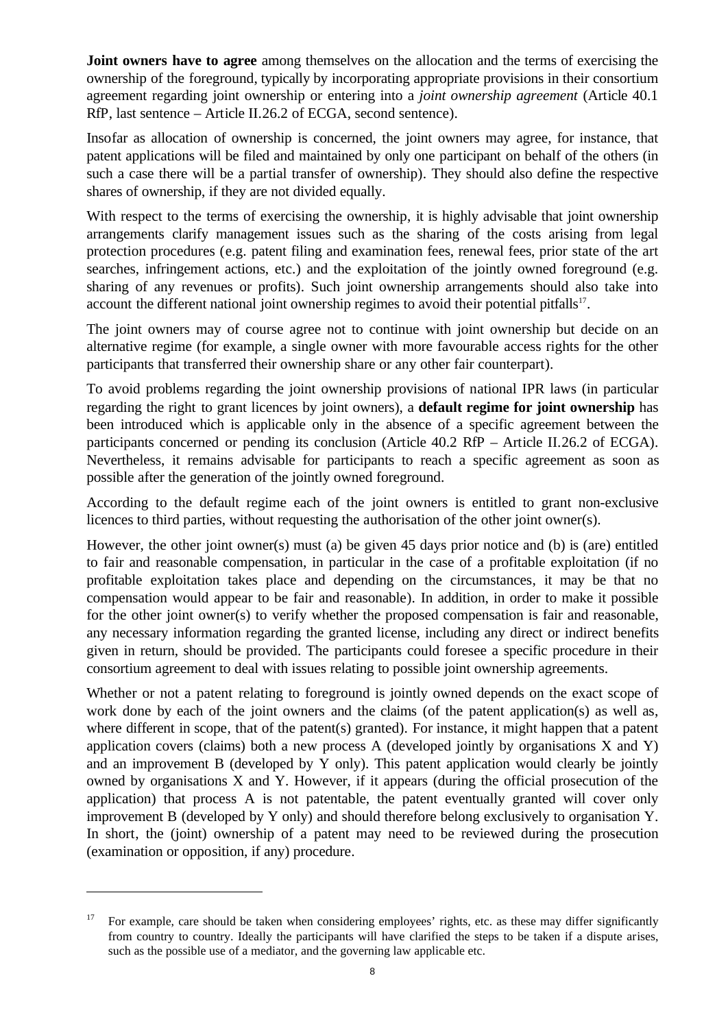**Joint owners have to agree** among themselves on the allocation and the terms of exercising the ownership of the foreground, typically by incorporating appropriate provisions in their consortium agreement regarding joint ownership or entering into a *joint ownership agreement* (Article 40.1 RfP, last sentence – Article II.26.2 of ECGA, second sentence).

Insofar as allocation of ownership is concerned, the joint owners may agree, for instance, that patent applications will be filed and maintained by only one participant on behalf of the others (in such a case there will be a partial transfer of ownership). They should also define the respective shares of ownership, if they are not divided equally.

With respect to the terms of exercising the ownership, it is highly advisable that joint ownership arrangements clarify management issues such as the sharing of the costs arising from legal protection procedures (e.g. patent filing and examination fees, renewal fees, prior state of the art searches, infringement actions, etc.) and the exploitation of the jointly owned foreground (e.g. sharing of any revenues or profits). Such joint ownership arrangements should also take into account the different national joint ownership regimes to avoid their potential pitfalls<sup>17</sup>.

The joint owners may of course agree not to continue with joint ownership but decide on an alternative regime (for example, a single owner with more favourable access rights for the other participants that transferred their ownership share or any other fair counterpart).

To avoid problems regarding the joint ownership provisions of national IPR laws (in particular regarding the right to grant licences by joint owners), a **default regime for joint ownership** has been introduced which is applicable only in the absence of a specific agreement between the participants concerned or pending its conclusion (Article 40.2 RfP – Article II.26.2 of ECGA). Nevertheless, it remains advisable for participants to reach a specific agreement as soon as possible after the generation of the jointly owned foreground.

According to the default regime each of the joint owners is entitled to grant non-exclusive licences to third parties, without requesting the authorisation of the other joint owner(s).

However, the other joint owner(s) must (a) be given 45 days prior notice and (b) is (are) entitled to fair and reasonable compensation, in particular in the case of a profitable exploitation (if no profitable exploitation takes place and depending on the circumstances, it may be that no compensation would appear to be fair and reasonable). In addition, in order to make it possible for the other joint owner(s) to verify whether the proposed compensation is fair and reasonable, any necessary information regarding the granted license, including any direct or indirect benefits given in return, should be provided. The participants could foresee a specific procedure in their consortium agreement to deal with issues relating to possible joint ownership agreements.

Whether or not a patent relating to foreground is jointly owned depends on the exact scope of work done by each of the joint owners and the claims (of the patent application(s) as well as, where different in scope, that of the patent(s) granted). For instance, it might happen that a patent application covers (claims) both a new process A (developed jointly by organisations  $X$  and  $Y$ ) and an improvement B (developed by Y only). This patent application would clearly be jointly owned by organisations X and Y. However, if it appears (during the official prosecution of the application) that process A is not patentable, the patent eventually granted will cover only improvement B (developed by Y only) and should therefore belong exclusively to organisation Y. In short, the (joint) ownership of a patent may need to be reviewed during the prosecution (examination or opposition, if any) procedure.

<sup>&</sup>lt;sup>17</sup> For example, care should be taken when considering employees' rights, etc. as these may differ significantly from country to country. Ideally the participants will have clarified the steps to be taken if a dispute arises, such as the possible use of a mediator, and the governing law applicable etc.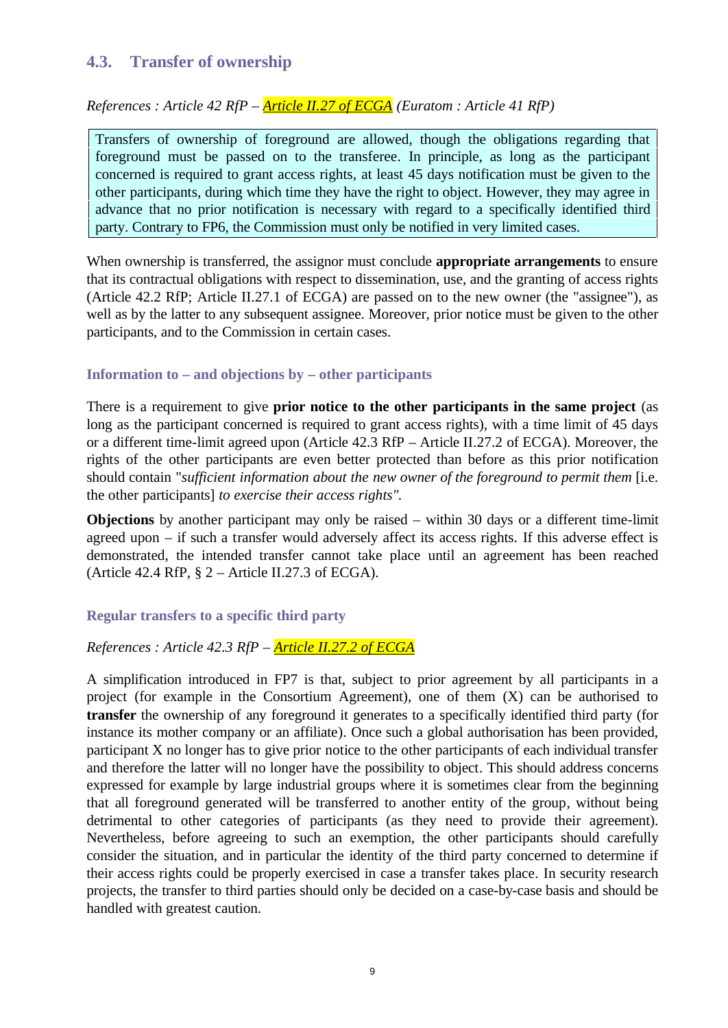### **4.3. Transfer of ownership**

*References : Article 42 RfP – Article II.27 of ECGA (Euratom : Article 41 RfP)*

Transfers of ownership of foreground are allowed, though the obligations regarding that foreground must be passed on to the transferee. In principle, as long as the participant concerned is required to grant access rights, at least 45 days notification must be given to the other participants, during which time they have the right to object. However, they may agree in advance that no prior notification is necessary with regard to a specifically identified third party. Contrary to FP6, the Commission must only be notified in very limited cases.

When ownership is transferred, the assignor must conclude **appropriate arrangements** to ensure that its contractual obligations with respect to dissemination, use, and the granting of access rights (Article 42.2 RfP; Article II.27.1 of ECGA) are passed on to the new owner (the "assignee"), as well as by the latter to any subsequent assignee. Moreover, prior notice must be given to the other participants, and to the Commission in certain cases.

#### **Information to – and objections by – other participants**

There is a requirement to give **prior notice to the other participants in the same project** (as long as the participant concerned is required to grant access rights), with a time limit of 45 days or a different time-limit agreed upon (Article 42.3 RfP – Article II.27.2 of ECGA). Moreover, the rights of the other participants are even better protected than before as this prior notification should contain "*sufficient information about the new owner of the foreground to permit them* [i.e. the other participants] *to exercise their access rights".*

**Objections** by another participant may only be raised – within 30 days or a different time-limit agreed upon – if such a transfer would adversely affect its access rights. If this adverse effect is demonstrated, the intended transfer cannot take place until an agreement has been reached (Article 42.4 RfP,  $\S$  2 – Article II.27.3 of ECGA).

#### **Regular transfers to a specific third party**

#### *References : Article 42.3 RfP – Article II.27.2 of ECGA*

A simplification introduced in FP7 is that, subject to prior agreement by all participants in a project (for example in the Consortium Agreement), one of them (X) can be authorised to **transfer** the ownership of any foreground it generates to a specifically identified third party (for instance its mother company or an affiliate). Once such a global authorisation has been provided, participant X no longer has to give prior notice to the other participants of each individual transfer and therefore the latter will no longer have the possibility to object. This should address concerns expressed for example by large industrial groups where it is sometimes clear from the beginning that all foreground generated will be transferred to another entity of the group, without being detrimental to other categories of participants (as they need to provide their agreement). Nevertheless, before agreeing to such an exemption, the other participants should carefully consider the situation, and in particular the identity of the third party concerned to determine if their access rights could be properly exercised in case a transfer takes place. In security research projects, the transfer to third parties should only be decided on a case-by-case basis and should be handled with greatest caution.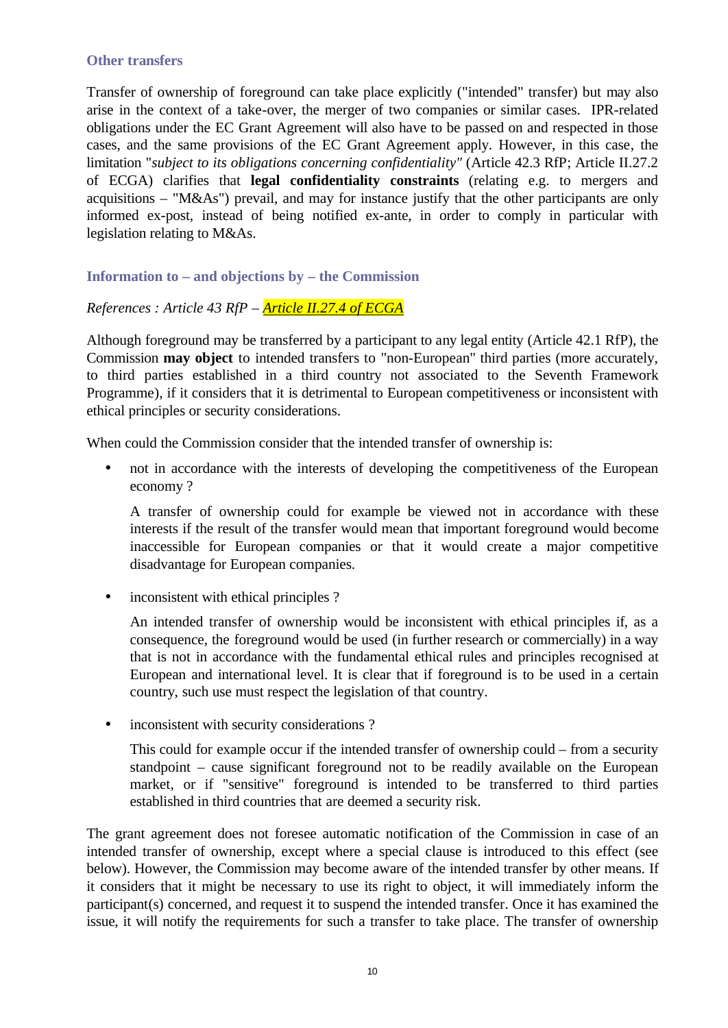#### **Other transfers**

Transfer of ownership of foreground can take place explicitly ("intended" transfer) but may also arise in the context of a take-over, the merger of two companies or similar cases. IPR-related obligations under the EC Grant Agreement will also have to be passed on and respected in those cases, and the same provisions of the EC Grant Agreement apply. However, in this case, the limitation "*subject to its obligations concerning confidentiality"* (Article 42.3 RfP; Article II.27.2 of ECGA) clarifies that **legal confidentiality constraints** (relating e.g. to mergers and acquisitions – "M&As") prevail, and may for instance justify that the other participants are only informed ex-post, instead of being notified ex-ante, in order to comply in particular with legislation relating to M&As.

**Information to – and objections by – the Commission**

*References : Article 43 RfP – Article II.27.4 of ECGA*

Although foreground may be transferred by a participant to any legal entity (Article 42.1 RfP), the Commission **may object** to intended transfers to "non-European" third parties (more accurately, to third parties established in a third country not associated to the Seventh Framework Programme), if it considers that it is detrimental to European competitiveness or inconsistent with ethical principles or security considerations.

When could the Commission consider that the intended transfer of ownership is:

• not in accordance with the interests of developing the competitiveness of the European economy ?

A transfer of ownership could for example be viewed not in accordance with these interests if the result of the transfer would mean that important foreground would become inaccessible for European companies or that it would create a major competitive disadvantage for European companies.

• inconsistent with ethical principles ?

An intended transfer of ownership would be inconsistent with ethical principles if, as a consequence, the foreground would be used (in further research or commercially) in a way that is not in accordance with the fundamental ethical rules and principles recognised at European and international level. It is clear that if foreground is to be used in a certain country, such use must respect the legislation of that country.

• inconsistent with security considerations ?

This could for example occur if the intended transfer of ownership could – from a security standpoint – cause significant foreground not to be readily available on the European market, or if "sensitive" foreground is intended to be transferred to third parties established in third countries that are deemed a security risk.

The grant agreement does not foresee automatic notification of the Commission in case of an intended transfer of ownership, except where a special clause is introduced to this effect (see below). However, the Commission may become aware of the intended transfer by other means. If it considers that it might be necessary to use its right to object, it will immediately inform the participant(s) concerned, and request it to suspend the intended transfer. Once it has examined the issue, it will notify the requirements for such a transfer to take place. The transfer of ownership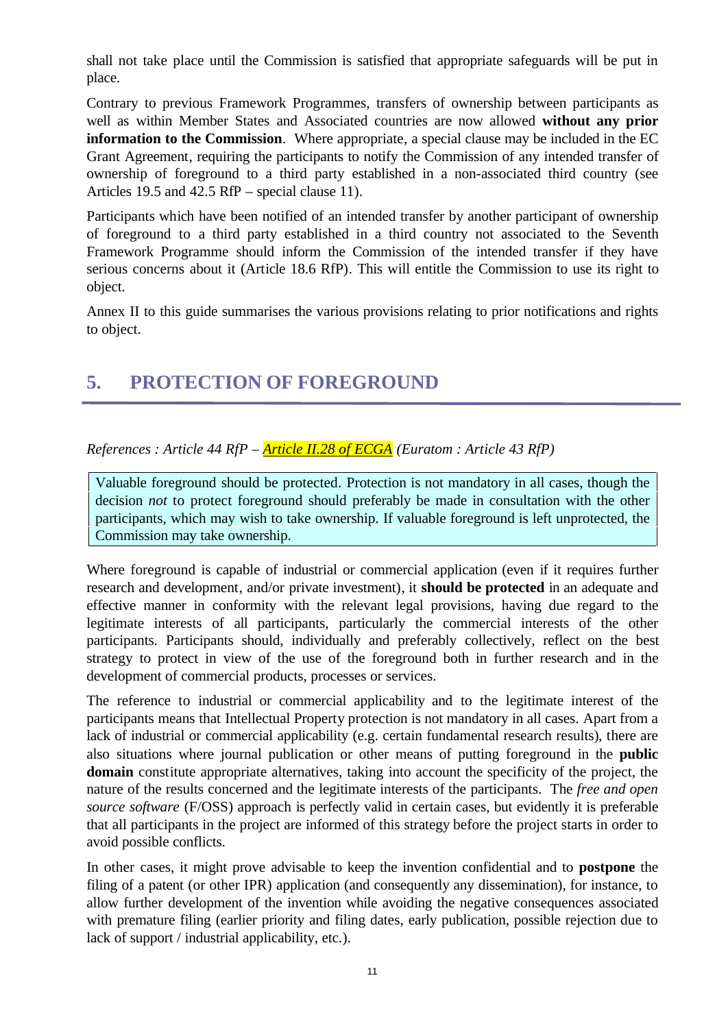shall not take place until the Commission is satisfied that appropriate safeguards will be put in place.

Contrary to previous Framework Programmes, transfers of ownership between participants as well as within Member States and Associated countries are now allowed **without any prior information to the Commission**. Where appropriate, a special clause may be included in the EC Grant Agreement, requiring the participants to notify the Commission of any intended transfer of ownership of foreground to a third party established in a non-associated third country (see Articles 19.5 and 42.5 RfP – special clause 11).

Participants which have been notified of an intended transfer by another participant of ownership of foreground to a third party established in a third country not associated to the Seventh Framework Programme should inform the Commission of the intended transfer if they have serious concerns about it (Article 18.6 RfP). This will entitle the Commission to use its right to object.

Annex II to this guide summarises the various provisions relating to prior notifications and rights to object.

## **5. PROTECTION OF FOREGROUND**

*References : Article 44 RfP – Article II.28 of ECGA (Euratom : Article 43 RfP)*

Valuable foreground should be protected. Protection is not mandatory in all cases, though the decision *not* to protect foreground should preferably be made in consultation with the other participants, which may wish to take ownership. If valuable foreground is left unprotected, the Commission may take ownership.

Where foreground is capable of industrial or commercial application (even if it requires further research and development, and/or private investment), it **should be protected** in an adequate and effective manner in conformity with the relevant legal provisions, having due regard to the legitimate interests of all participants, particularly the commercial interests of the other participants. Participants should, individually and preferably collectively, reflect on the best strategy to protect in view of the use of the foreground both in further research and in the development of commercial products, processes or services.

The reference to industrial or commercial applicability and to the legitimate interest of the participants means that Intellectual Property protection is not mandatory in all cases. Apart from a lack of industrial or commercial applicability (e.g. certain fundamental research results), there are also situations where journal publication or other means of putting foreground in the **public domain** constitute appropriate alternatives, taking into account the specificity of the project, the nature of the results concerned and the legitimate interests of the participants. The *free and open source software* (F/OSS) approach is perfectly valid in certain cases, but evidently it is preferable that all participants in the project are informed of this strategy before the project starts in order to avoid possible conflicts.

In other cases, it might prove advisable to keep the invention confidential and to **postpone** the filing of a patent (or other IPR) application (and consequently any dissemination), for instance, to allow further development of the invention while avoiding the negative consequences associated with premature filing (earlier priority and filing dates, early publication, possible rejection due to lack of support / industrial applicability, etc.).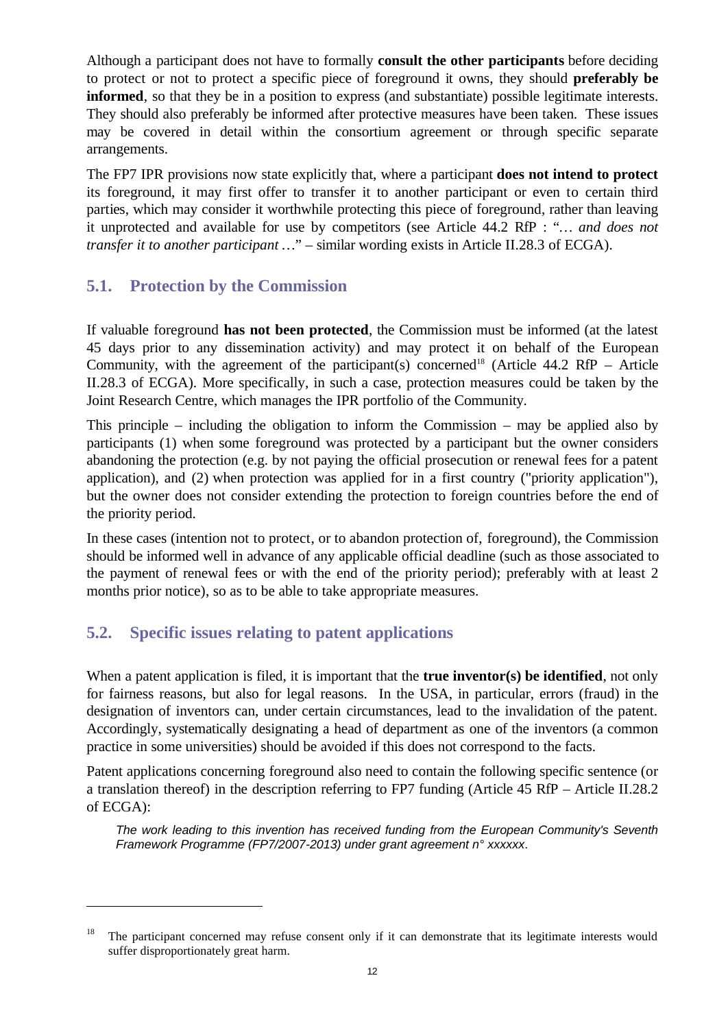Although a participant does not have to formally **consult the other participants** before deciding to protect or not to protect a specific piece of foreground it owns, they should **preferably be informed**, so that they be in a position to express (and substantiate) possible legitimate interests. They should also preferably be informed after protective measures have been taken. These issues may be covered in detail within the consortium agreement or through specific separate arrangements.

The FP7 IPR provisions now state explicitly that, where a participant **does not intend to protect** its foreground, it may first offer to transfer it to another participant or even to certain third parties, which may consider it worthwhile protecting this piece of foreground, rather than leaving it unprotected and available for use by competitors (see Article 44.2 RfP : "*… and does not transfer it to another participant …*" – similar wording exists in Article II.28.3 of ECGA).

#### **5.1. Protection by the Commission**

If valuable foreground **has not been protected**, the Commission must be informed (at the latest 45 days prior to any dissemination activity) and may protect it on behalf of the European Community, with the agreement of the participant(s) concerned<sup>18</sup> (Article 44.2 RfP – Article II.28.3 of ECGA). More specifically, in such a case, protection measures could be taken by the Joint Research Centre, which manages the IPR portfolio of the Community.

This principle – including the obligation to inform the Commission – may be applied also by participants (1) when some foreground was protected by a participant but the owner considers abandoning the protection (e.g. by not paying the official prosecution or renewal fees for a patent application), and (2) when protection was applied for in a first country ("priority application"), but the owner does not consider extending the protection to foreign countries before the end of the priority period.

In these cases (intention not to protect, or to abandon protection of, foreground), the Commission should be informed well in advance of any applicable official deadline (such as those associated to the payment of renewal fees or with the end of the priority period); preferably with at least 2 months prior notice), so as to be able to take appropriate measures.

### **5.2. Specific issues relating to patent applications**

<u>.</u>

When a patent application is filed, it is important that the **true inventor(s) be identified**, not only for fairness reasons, but also for legal reasons. In the USA, in particular, errors (fraud) in the designation of inventors can, under certain circumstances, lead to the invalidation of the patent. Accordingly, systematically designating a head of department as one of the inventors (a common practice in some universities) should be avoided if this does not correspond to the facts.

Patent applications concerning foreground also need to contain the following specific sentence (or a translation thereof) in the description referring to FP7 funding (Article 45 RfP – Article II.28.2 of ECGA):

*The work leading to this invention has received funding from the European Community's Seventh Framework Programme (FP7/2007-2013) under grant agreement n° xxxxxx*.

<sup>&</sup>lt;sup>18</sup> The participant concerned may refuse consent only if it can demonstrate that its legitimate interests would suffer disproportionately great harm.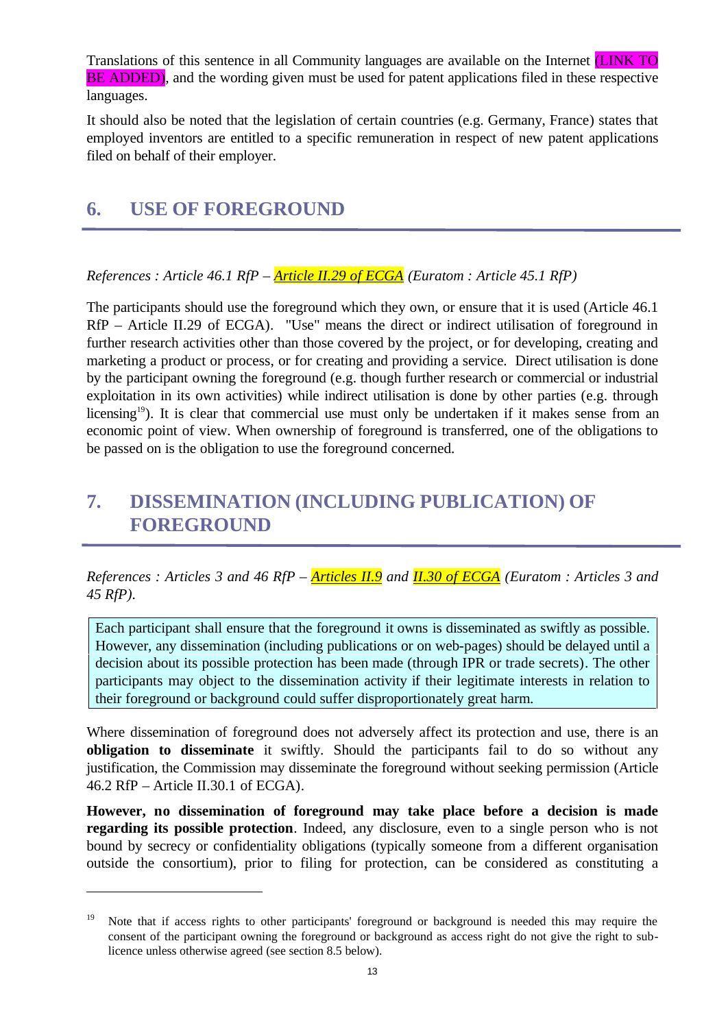Translations of this sentence in all Community languages are available on the Internet (LINK TO BE ADDED), and the wording given must be used for patent applications filed in these respective languages.

It should also be noted that the legislation of certain countries (e.g. Germany, France) states that employed inventors are entitled to a specific remuneration in respect of new patent applications filed on behalf of their employer.

### **6. USE OF FOREGROUND**

<u>.</u>

*References : Article 46.1 RfP – Article II.29 of ECGA (Euratom : Article 45.1 RfP)*

The participants should use the foreground which they own, or ensure that it is used (Article 46.1 RfP – Article II.29 of ECGA). "Use" means the direct or indirect utilisation of foreground in further research activities other than those covered by the project, or for developing, creating and marketing a product or process, or for creating and providing a service. Direct utilisation is done by the participant owning the foreground (e.g. though further research or commercial or industrial exploitation in its own activities) while indirect utilisation is done by other parties (e.g. through licensing<sup>19</sup>). It is clear that commercial use must only be undertaken if it makes sense from an economic point of view. When ownership of foreground is transferred, one of the obligations to be passed on is the obligation to use the foreground concerned.

## **7. DISSEMINATION (INCLUDING PUBLICATION) OF FOREGROUND**

*References : Articles 3 and 46 RfP – Articles II.9 and II.30 of ECGA (Euratom : Articles 3 and 45 RfP).*

Each participant shall ensure that the foreground it owns is disseminated as swiftly as possible. However, any dissemination (including publications or on web-pages) should be delayed until a decision about its possible protection has been made (through IPR or trade secrets). The other participants may object to the dissemination activity if their legitimate interests in relation to their foreground or background could suffer disproportionately great harm.

Where dissemination of foreground does not adversely affect its protection and use, there is an **obligation to disseminate** it swiftly. Should the participants fail to do so without any justification, the Commission may disseminate the foreground without seeking permission (Article 46.2 RfP – Article II.30.1 of ECGA).

**However, no dissemination of foreground may take place before a decision is made regarding its possible protection**. Indeed, any disclosure, even to a single person who is not bound by secrecy or confidentiality obligations (typically someone from a different organisation outside the consortium), prior to filing for protection, can be considered as constituting a

<sup>&</sup>lt;sup>19</sup> Note that if access rights to other participants' foreground or background is needed this may require the consent of the participant owning the foreground or background as access right do not give the right to sublicence unless otherwise agreed (see section 8.5 below).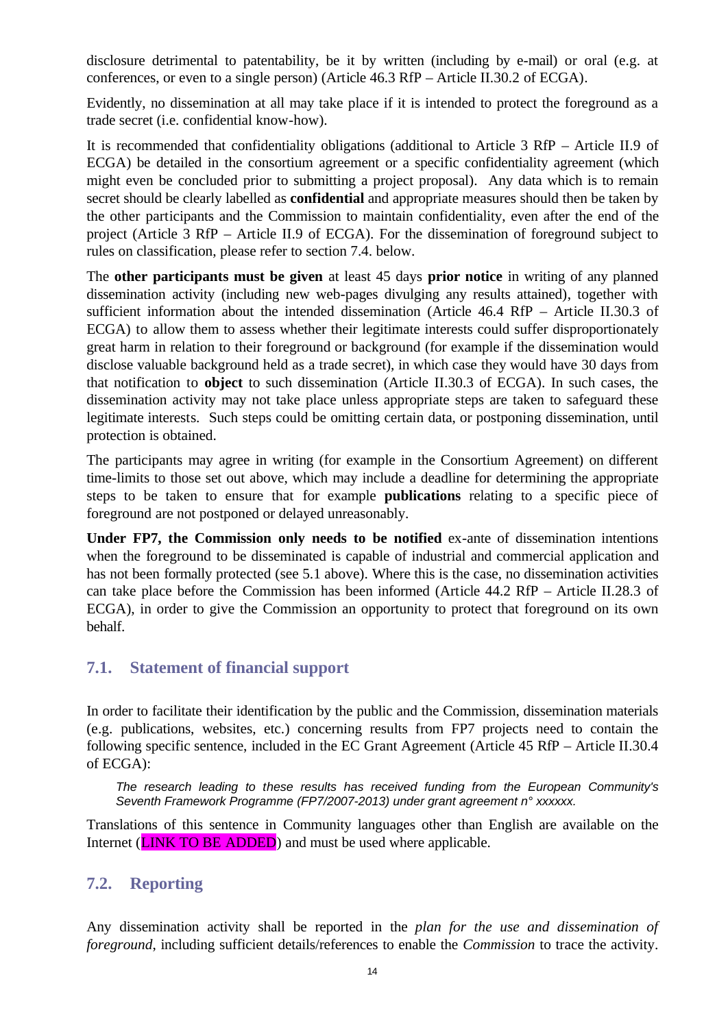disclosure detrimental to patentability, be it by written (including by e-mail) or oral (e.g. at conferences, or even to a single person) (Article 46.3 RfP – Article II.30.2 of ECGA).

Evidently, no dissemination at all may take place if it is intended to protect the foreground as a trade secret (i.e. confidential know-how).

It is recommended that confidentiality obligations (additional to Article 3 RfP – Article II.9 of ECGA) be detailed in the consortium agreement or a specific confidentiality agreement (which might even be concluded prior to submitting a project proposal). Any data which is to remain secret should be clearly labelled as **confidential** and appropriate measures should then be taken by the other participants and the Commission to maintain confidentiality, even after the end of the project (Article 3 RfP – Article II.9 of ECGA). For the dissemination of foreground subject to rules on classification, please refer to section 7.4. below.

The **other participants must be given** at least 45 days **prior notice** in writing of any planned dissemination activity (including new web-pages divulging any results attained), together with sufficient information about the intended dissemination (Article 46.4 RfP – Article II.30.3 of ECGA) to allow them to assess whether their legitimate interests could suffer disproportionately great harm in relation to their foreground or background (for example if the dissemination would disclose valuable background held as a trade secret), in which case they would have 30 days from that notification to **object** to such dissemination (Article II.30.3 of ECGA). In such cases, the dissemination activity may not take place unless appropriate steps are taken to safeguard these legitimate interests. Such steps could be omitting certain data, or postponing dissemination, until protection is obtained.

The participants may agree in writing (for example in the Consortium Agreement) on different time-limits to those set out above, which may include a deadline for determining the appropriate steps to be taken to ensure that for example **publications** relating to a specific piece of foreground are not postponed or delayed unreasonably.

**Under FP7, the Commission only needs to be notified** ex-ante of dissemination intentions when the foreground to be disseminated is capable of industrial and commercial application and has not been formally protected (see 5.1 above). Where this is the case, no dissemination activities can take place before the Commission has been informed (Article 44.2 RfP – Article II.28.3 of ECGA), in order to give the Commission an opportunity to protect that foreground on its own behalf.

### **7.1. Statement of financial support**

In order to facilitate their identification by the public and the Commission, dissemination materials (e.g. publications, websites, etc.) concerning results from FP7 projects need to contain the following specific sentence, included in the EC Grant Agreement (Article 45 RfP – Article II.30.4 of ECGA):

*The research leading to these results has received funding from the European Community's Seventh Framework Programme (FP7/2007-2013) under grant agreement n° xxxxxx.* 

Translations of this sentence in Community languages other than English are available on the Internet (**LINK TO BE ADDED**) and must be used where applicable.

### **7.2. Reporting**

Any dissemination activity shall be reported in the *plan for the use and dissemination of foreground*, including sufficient details/references to enable the *Commission* to trace the activity.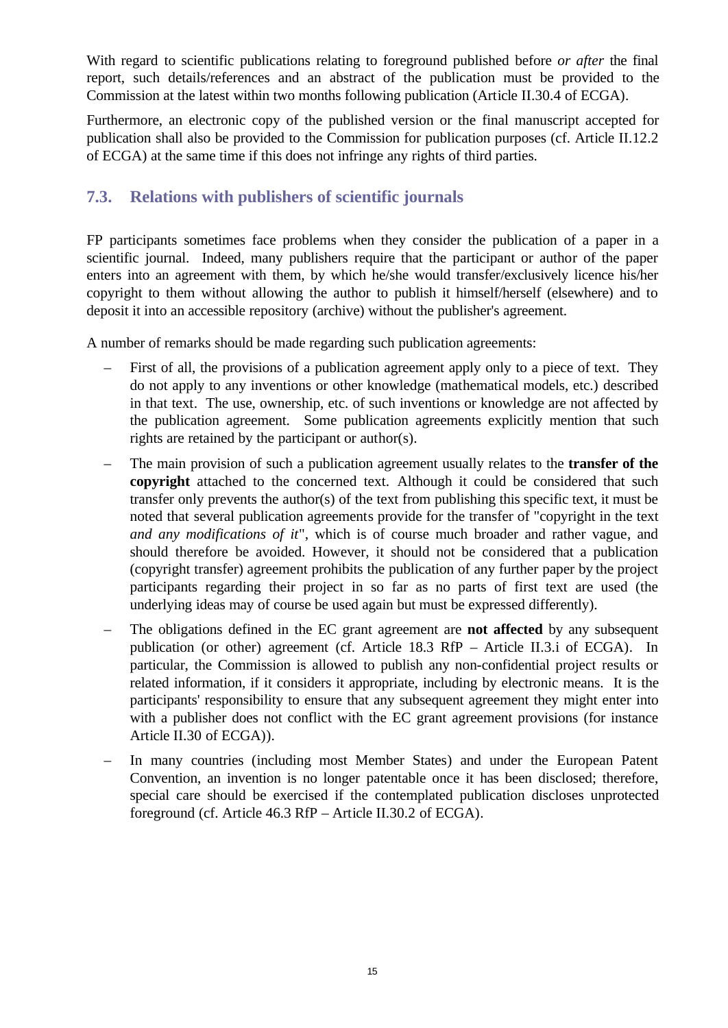With regard to scientific publications relating to foreground published before *or after* the final report, such details/references and an abstract of the publication must be provided to the Commission at the latest within two months following publication (Article II.30.4 of ECGA).

Furthermore, an electronic copy of the published version or the final manuscript accepted for publication shall also be provided to the Commission for publication purposes (cf. Article II.12.2 of ECGA) at the same time if this does not infringe any rights of third parties.

### **7.3. Relations with publishers of scientific journals**

FP participants sometimes face problems when they consider the publication of a paper in a scientific journal. Indeed, many publishers require that the participant or author of the paper enters into an agreement with them, by which he/she would transfer/exclusively licence his/her copyright to them without allowing the author to publish it himself/herself (elsewhere) and to deposit it into an accessible repository (archive) without the publisher's agreement.

A number of remarks should be made regarding such publication agreements:

- First of all, the provisions of a publication agreement apply only to a piece of text. They do not apply to any inventions or other knowledge (mathematical models, etc.) described in that text. The use, ownership, etc. of such inventions or knowledge are not affected by the publication agreement. Some publication agreements explicitly mention that such rights are retained by the participant or author(s).
- The main provision of such a publication agreement usually relates to the **transfer of the copyright** attached to the concerned text. Although it could be considered that such transfer only prevents the author(s) of the text from publishing this specific text, it must be noted that several publication agreements provide for the transfer of "copyright in the text *and any modifications of it*", which is of course much broader and rather vague, and should therefore be avoided. However, it should not be considered that a publication (copyright transfer) agreement prohibits the publication of any further paper by the project participants regarding their project in so far as no parts of first text are used (the underlying ideas may of course be used again but must be expressed differently).
- The obligations defined in the EC grant agreement are **not affected** by any subsequent publication (or other) agreement (cf. Article 18.3 RfP – Article II.3.i of ECGA). In particular, the Commission is allowed to publish any non-confidential project results or related information, if it considers it appropriate, including by electronic means. It is the participants' responsibility to ensure that any subsequent agreement they might enter into with a publisher does not conflict with the EC grant agreement provisions (for instance Article II.30 of ECGA)).
- In many countries (including most Member States) and under the European Patent Convention, an invention is no longer patentable once it has been disclosed; therefore, special care should be exercised if the contemplated publication discloses unprotected foreground (cf. Article 46.3 RfP – Article II.30.2 of ECGA).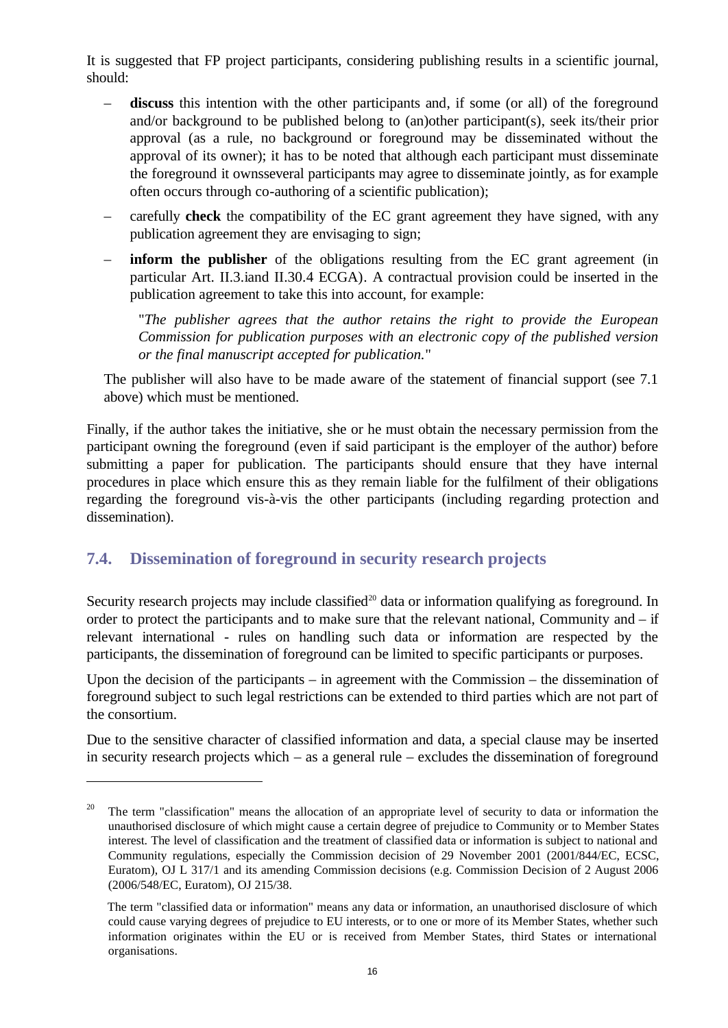It is suggested that FP project participants, considering publishing results in a scientific journal, should:

- discuss this intention with the other participants and, if some (or all) of the foreground and/or background to be published belong to (an)other participant(s), seek its/their prior approval (as a rule, no background or foreground may be disseminated without the approval of its owner); it has to be noted that although each participant must disseminate the foreground it ownsseveral participants may agree to disseminate jointly, as for example often occurs through co-authoring of a scientific publication);
- carefully **check** the compatibility of the EC grant agreement they have signed, with any publication agreement they are envisaging to sign;
- **inform the publisher** of the obligations resulting from the EC grant agreement (in particular Art. II.3.iand II.30.4 ECGA). A contractual provision could be inserted in the publication agreement to take this into account, for example:

"*The publisher agrees that the author retains the right to provide the European Commission for publication purposes with an electronic copy of the published version or the final manuscript accepted for publication.*"

The publisher will also have to be made aware of the statement of financial support (see 7.1 above) which must be mentioned.

Finally, if the author takes the initiative, she or he must obtain the necessary permission from the participant owning the foreground (even if said participant is the employer of the author) before submitting a paper for publication. The participants should ensure that they have internal procedures in place which ensure this as they remain liable for the fulfilment of their obligations regarding the foreground vis-à-vis the other participants (including regarding protection and dissemination).

### **7.4. Dissemination of foreground in security research projects**

<u>.</u>

Security research projects may include classified<sup>20</sup> data or information qualifying as foreground. In order to protect the participants and to make sure that the relevant national, Community and – if relevant international - rules on handling such data or information are respected by the participants, the dissemination of foreground can be limited to specific participants or purposes.

Upon the decision of the participants – in agreement with the Commission – the dissemination of foreground subject to such legal restrictions can be extended to third parties which are not part of the consortium.

Due to the sensitive character of classified information and data, a special clause may be inserted in security research projects which – as a general rule – excludes the dissemination of foreground

<sup>&</sup>lt;sup>20</sup> The term "classification" means the allocation of an appropriate level of security to data or information the unauthorised disclosure of which might cause a certain degree of prejudice to Community or to Member States interest. The level of classification and the treatment of classified data or information is subject to national and Community regulations, especially the Commission decision of 29 November 2001 (2001/844/EC, ECSC, Euratom), OJ L 317/1 and its amending Commission decisions (e.g. Commission Decision of 2 August 2006 (2006/548/EC, Euratom), OJ 215/38.

The term "classified data or information" means any data or information, an unauthorised disclosure of which could cause varying degrees of prejudice to EU interests, or to one or more of its Member States, whether such information originates within the EU or is received from Member States, third States or international organisations.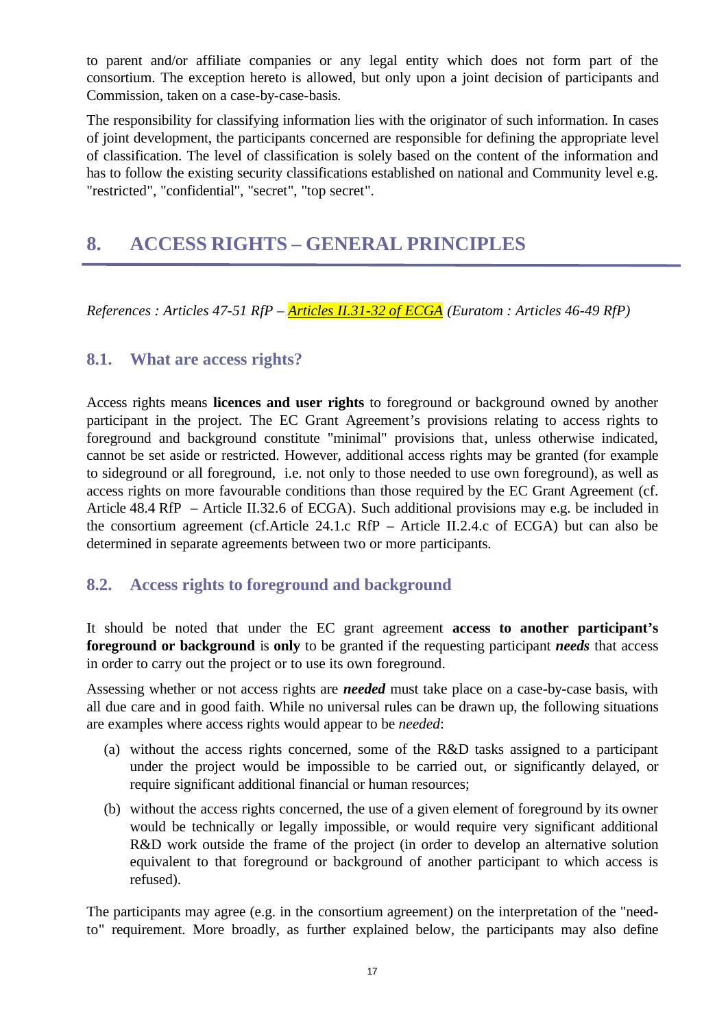to parent and/or affiliate companies or any legal entity which does not form part of the consortium. The exception hereto is allowed, but only upon a joint decision of participants and Commission, taken on a case-by-case-basis.

The responsibility for classifying information lies with the originator of such information. In cases of joint development, the participants concerned are responsible for defining the appropriate level of classification. The level of classification is solely based on the content of the information and has to follow the existing security classifications established on national and Community level e.g. "restricted", "confidential", "secret", "top secret".

## **8. ACCESS RIGHTS – GENERAL PRINCIPLES**

*References : Articles 47-51 RfP – Articles II.31-32 of ECGA (Euratom : Articles 46-49 RfP)*

#### **8.1. What are access rights?**

Access rights means **licences and user rights** to foreground or background owned by another participant in the project. The EC Grant Agreement's provisions relating to access rights to foreground and background constitute "minimal" provisions that, unless otherwise indicated, cannot be set aside or restricted. However, additional access rights may be granted (for example to sideground or all foreground, i.e. not only to those needed to use own foreground), as well as access rights on more favourable conditions than those required by the EC Grant Agreement (cf. Article 48.4 RfP – Article II.32.6 of ECGA). Such additional provisions may e.g. be included in the consortium agreement (cf.Article 24.1.c RfP – Article II.2.4.c of ECGA) but can also be determined in separate agreements between two or more participants.

### **8.2. Access rights to foreground and background**

It should be noted that under the EC grant agreement **access to another participant's foreground or background** is **only** to be granted if the requesting participant *needs* that access in order to carry out the project or to use its own foreground.

Assessing whether or not access rights are *needed* must take place on a case-by-case basis, with all due care and in good faith. While no universal rules can be drawn up, the following situations are examples where access rights would appear to be *needed*:

- (a) without the access rights concerned, some of the R&D tasks assigned to a participant under the project would be impossible to be carried out, or significantly delayed, or require significant additional financial or human resources;
- (b) without the access rights concerned, the use of a given element of foreground by its owner would be technically or legally impossible, or would require very significant additional R&D work outside the frame of the project (in order to develop an alternative solution equivalent to that foreground or background of another participant to which access is refused).

The participants may agree (e.g. in the consortium agreement) on the interpretation of the "needto" requirement. More broadly, as further explained below, the participants may also define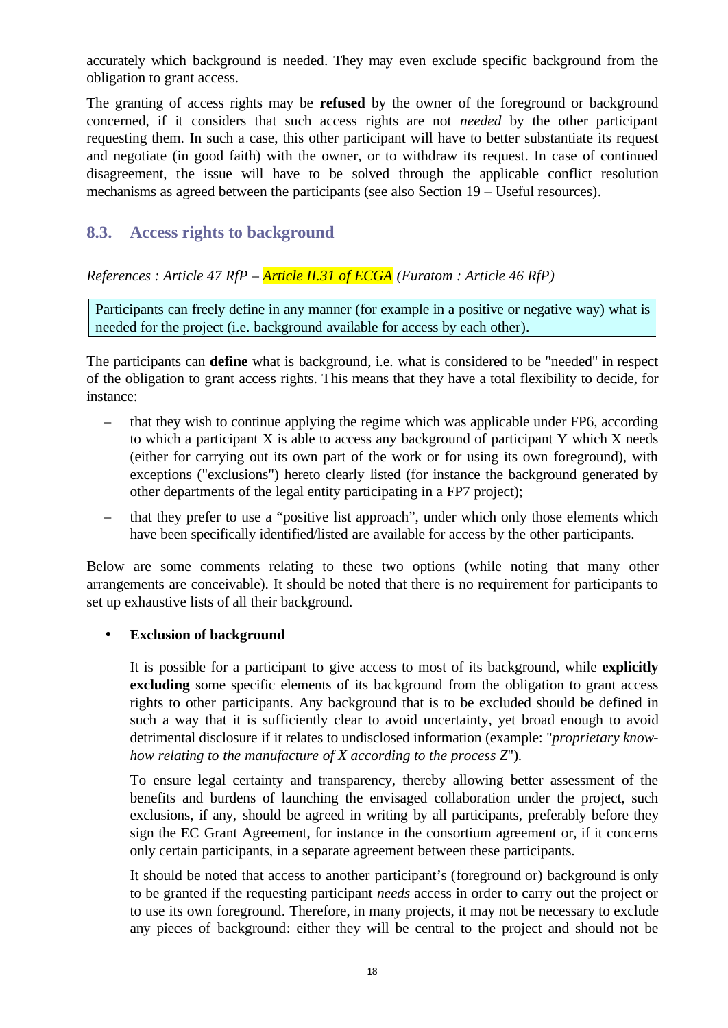accurately which background is needed. They may even exclude specific background from the obligation to grant access.

The granting of access rights may be **refused** by the owner of the foreground or background concerned, if it considers that such access rights are not *needed* by the other participant requesting them. In such a case, this other participant will have to better substantiate its request and negotiate (in good faith) with the owner, or to withdraw its request. In case of continued disagreement, the issue will have to be solved through the applicable conflict resolution mechanisms as agreed between the participants (see also Section 19 – Useful resources).

### **8.3. Access rights to background**

*References : Article 47 RfP – Article II.31 of ECGA (Euratom : Article 46 RfP)*

Participants can freely define in any manner (for example in a positive or negative way) what is needed for the project (i.e. background available for access by each other).

The participants can **define** what is background, i.e. what is considered to be "needed" in respect of the obligation to grant access rights. This means that they have a total flexibility to decide, for instance:

- that they wish to continue applying the regime which was applicable under FP6, according to which a participant X is able to access any background of participant Y which X needs (either for carrying out its own part of the work or for using its own foreground), with exceptions ("exclusions") hereto clearly listed (for instance the background generated by other departments of the legal entity participating in a FP7 project);
- that they prefer to use a "positive list approach", under which only those elements which have been specifically identified/listed are available for access by the other participants.

Below are some comments relating to these two options (while noting that many other arrangements are conceivable). It should be noted that there is no requirement for participants to set up exhaustive lists of all their background.

#### **Exclusion of background**

It is possible for a participant to give access to most of its background, while **explicitly excluding** some specific elements of its background from the obligation to grant access rights to other participants. Any background that is to be excluded should be defined in such a way that it is sufficiently clear to avoid uncertainty, yet broad enough to avoid detrimental disclosure if it relates to undisclosed information (example: "*proprietary knowhow relating to the manufacture of X according to the process Z*").

To ensure legal certainty and transparency, thereby allowing better assessment of the benefits and burdens of launching the envisaged collaboration under the project, such exclusions, if any, should be agreed in writing by all participants, preferably before they sign the EC Grant Agreement, for instance in the consortium agreement or, if it concerns only certain participants, in a separate agreement between these participants.

It should be noted that access to another participant's (foreground or) background is only to be granted if the requesting participant *needs* access in order to carry out the project or to use its own foreground. Therefore, in many projects, it may not be necessary to exclude any pieces of background: either they will be central to the project and should not be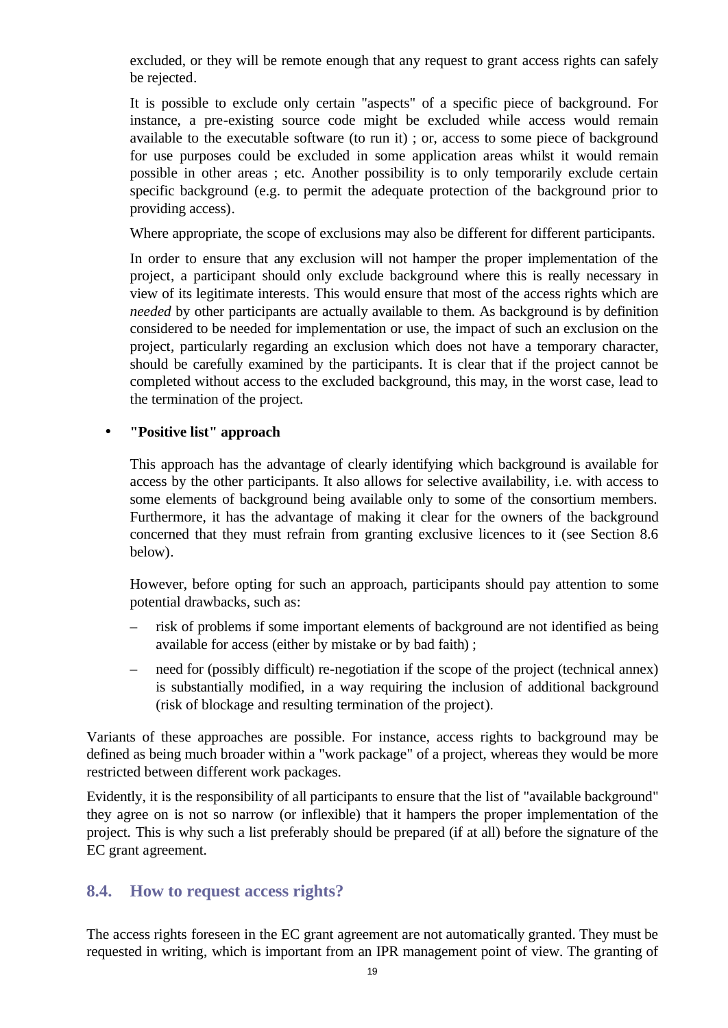excluded, or they will be remote enough that any request to grant access rights can safely be rejected.

It is possible to exclude only certain "aspects" of a specific piece of background. For instance, a pre-existing source code might be excluded while access would remain available to the executable software (to run it) ; or, access to some piece of background for use purposes could be excluded in some application areas whilst it would remain possible in other areas ; etc. Another possibility is to only temporarily exclude certain specific background (e.g. to permit the adequate protection of the background prior to providing access).

Where appropriate, the scope of exclusions may also be different for different participants.

In order to ensure that any exclusion will not hamper the proper implementation of the project, a participant should only exclude background where this is really necessary in view of its legitimate interests. This would ensure that most of the access rights which are *needed* by other participants are actually available to them. As background is by definition considered to be needed for implementation or use, the impact of such an exclusion on the project, particularly regarding an exclusion which does not have a temporary character, should be carefully examined by the participants. It is clear that if the project cannot be completed without access to the excluded background, this may, in the worst case, lead to the termination of the project.

#### • **"Positive list" approach**

This approach has the advantage of clearly identifying which background is available for access by the other participants. It also allows for selective availability, i.e. with access to some elements of background being available only to some of the consortium members. Furthermore, it has the advantage of making it clear for the owners of the background concerned that they must refrain from granting exclusive licences to it (see Section 8.6 below).

However, before opting for such an approach, participants should pay attention to some potential drawbacks, such as:

- risk of problems if some important elements of background are not identified as being available for access (either by mistake or by bad faith) ;
- need for (possibly difficult) re-negotiation if the scope of the project (technical annex) is substantially modified, in a way requiring the inclusion of additional background (risk of blockage and resulting termination of the project).

Variants of these approaches are possible. For instance, access rights to background may be defined as being much broader within a "work package" of a project, whereas they would be more restricted between different work packages.

Evidently, it is the responsibility of all participants to ensure that the list of "available background" they agree on is not so narrow (or inflexible) that it hampers the proper implementation of the project. This is why such a list preferably should be prepared (if at all) before the signature of the EC grant agreement.

### **8.4. How to request access rights?**

The access rights foreseen in the EC grant agreement are not automatically granted. They must be requested in writing, which is important from an IPR management point of view. The granting of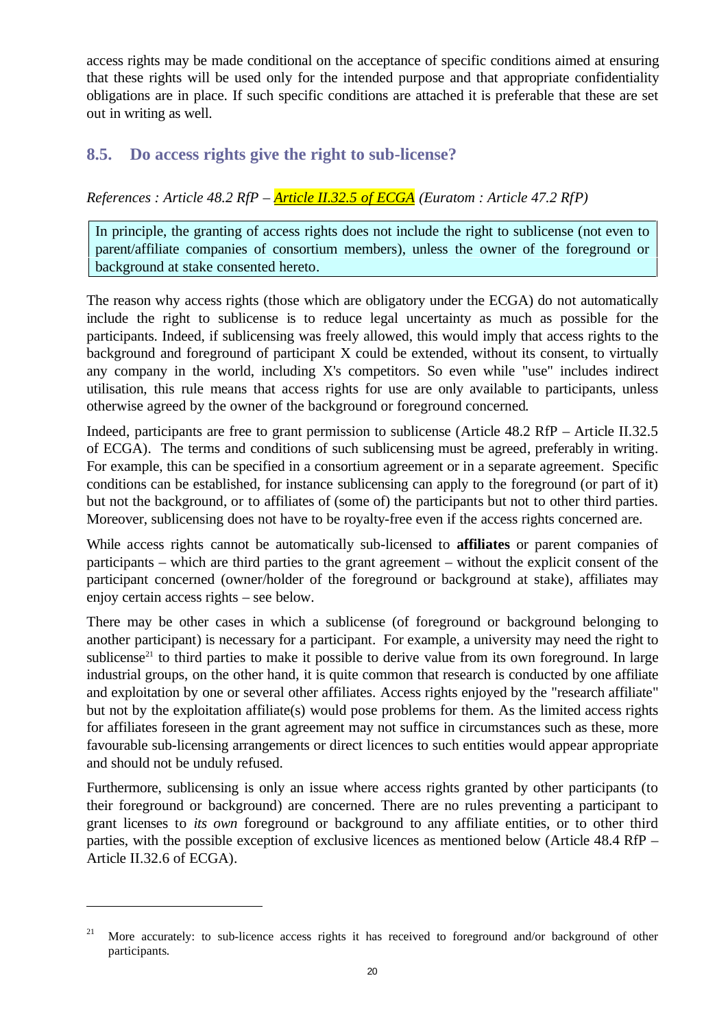access rights may be made conditional on the acceptance of specific conditions aimed at ensuring that these rights will be used only for the intended purpose and that appropriate confidentiality obligations are in place. If such specific conditions are attached it is preferable that these are set out in writing as well.

#### **8.5. Do access rights give the right to sub-license?**

*References : Article 48.2 RfP – Article II.32.5 of ECGA (Euratom : Article 47.2 RfP)*

In principle, the granting of access rights does not include the right to sublicense (not even to parent/affiliate companies of consortium members), unless the owner of the foreground or background at stake consented hereto.

The reason why access rights (those which are obligatory under the ECGA) do not automatically include the right to sublicense is to reduce legal uncertainty as much as possible for the participants. Indeed, if sublicensing was freely allowed, this would imply that access rights to the background and foreground of participant X could be extended, without its consent, to virtually any company in the world, including X's competitors. So even while "use" includes indirect utilisation, this rule means that access rights for use are only available to participants, unless otherwise agreed by the owner of the background or foreground concerned.

Indeed, participants are free to grant permission to sublicense (Article 48.2 RfP – Article II.32.5 of ECGA). The terms and conditions of such sublicensing must be agreed, preferably in writing. For example, this can be specified in a consortium agreement or in a separate agreement. Specific conditions can be established, for instance sublicensing can apply to the foreground (or part of it) but not the background, or to affiliates of (some of) the participants but not to other third parties. Moreover, sublicensing does not have to be royalty-free even if the access rights concerned are.

While access rights cannot be automatically sub-licensed to **affiliates** or parent companies of participants – which are third parties to the grant agreement – without the explicit consent of the participant concerned (owner/holder of the foreground or background at stake), affiliates may enjoy certain access rights – see below.

There may be other cases in which a sublicense (of foreground or background belonging to another participant) is necessary for a participant. For example, a university may need the right to sublicense<sup>21</sup> to third parties to make it possible to derive value from its own foreground. In large industrial groups, on the other hand, it is quite common that research is conducted by one affiliate and exploitation by one or several other affiliates. Access rights enjoyed by the "research affiliate" but not by the exploitation affiliate(s) would pose problems for them. As the limited access rights for affiliates foreseen in the grant agreement may not suffice in circumstances such as these, more favourable sub-licensing arrangements or direct licences to such entities would appear appropriate and should not be unduly refused.

Furthermore, sublicensing is only an issue where access rights granted by other participants (to their foreground or background) are concerned. There are no rules preventing a participant to grant licenses to *its own* foreground or background to any affiliate entities, or to other third parties, with the possible exception of exclusive licences as mentioned below (Article 48.4 RfP – Article II.32.6 of ECGA).

More accurately: to sub-licence access rights it has received to foreground and/or background of other participants.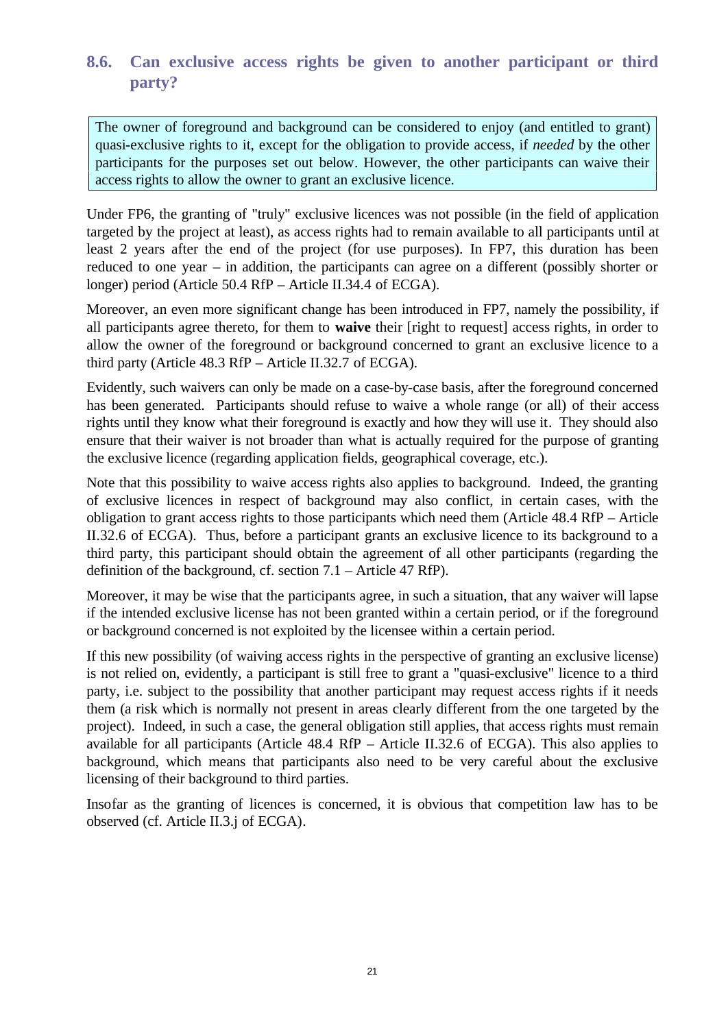### **8.6. Can exclusive access rights be given to another participant or third party?**

The owner of foreground and background can be considered to enjoy (and entitled to grant) quasi-exclusive rights to it, except for the obligation to provide access, if *needed* by the other participants for the purposes set out below. However, the other participants can waive their access rights to allow the owner to grant an exclusive licence.

Under FP6, the granting of "truly" exclusive licences was not possible (in the field of application targeted by the project at least), as access rights had to remain available to all participants until at least 2 years after the end of the project (for use purposes). In FP7, this duration has been reduced to one year – in addition, the participants can agree on a different (possibly shorter or longer) period (Article 50.4 RfP – Article II.34.4 of ECGA).

Moreover, an even more significant change has been introduced in FP7, namely the possibility, if all participants agree thereto, for them to **waive** their [right to request] access rights, in order to allow the owner of the foreground or background concerned to grant an exclusive licence to a third party (Article 48.3 RfP – Article II.32.7 of ECGA).

Evidently, such waivers can only be made on a case-by-case basis, after the foreground concerned has been generated. Participants should refuse to waive a whole range (or all) of their access rights until they know what their foreground is exactly and how they will use it. They should also ensure that their waiver is not broader than what is actually required for the purpose of granting the exclusive licence (regarding application fields, geographical coverage, etc.).

Note that this possibility to waive access rights also applies to background. Indeed, the granting of exclusive licences in respect of background may also conflict, in certain cases, with the obligation to grant access rights to those participants which need them (Article 48.4 RfP – Article II.32.6 of ECGA). Thus, before a participant grants an exclusive licence to its background to a third party, this participant should obtain the agreement of all other participants (regarding the definition of the background, cf. section 7.1 – Article 47 RfP).

Moreover, it may be wise that the participants agree, in such a situation, that any waiver will lapse if the intended exclusive license has not been granted within a certain period, or if the foreground or background concerned is not exploited by the licensee within a certain period.

If this new possibility (of waiving access rights in the perspective of granting an exclusive license) is not relied on, evidently, a participant is still free to grant a "quasi-exclusive" licence to a third party, i.e. subject to the possibility that another participant may request access rights if it needs them (a risk which is normally not present in areas clearly different from the one targeted by the project). Indeed, in such a case, the general obligation still applies, that access rights must remain available for all participants (Article 48.4 RfP – Article II.32.6 of ECGA). This also applies to background, which means that participants also need to be very careful about the exclusive licensing of their background to third parties.

Insofar as the granting of licences is concerned, it is obvious that competition law has to be observed (cf. Article II.3.j of ECGA).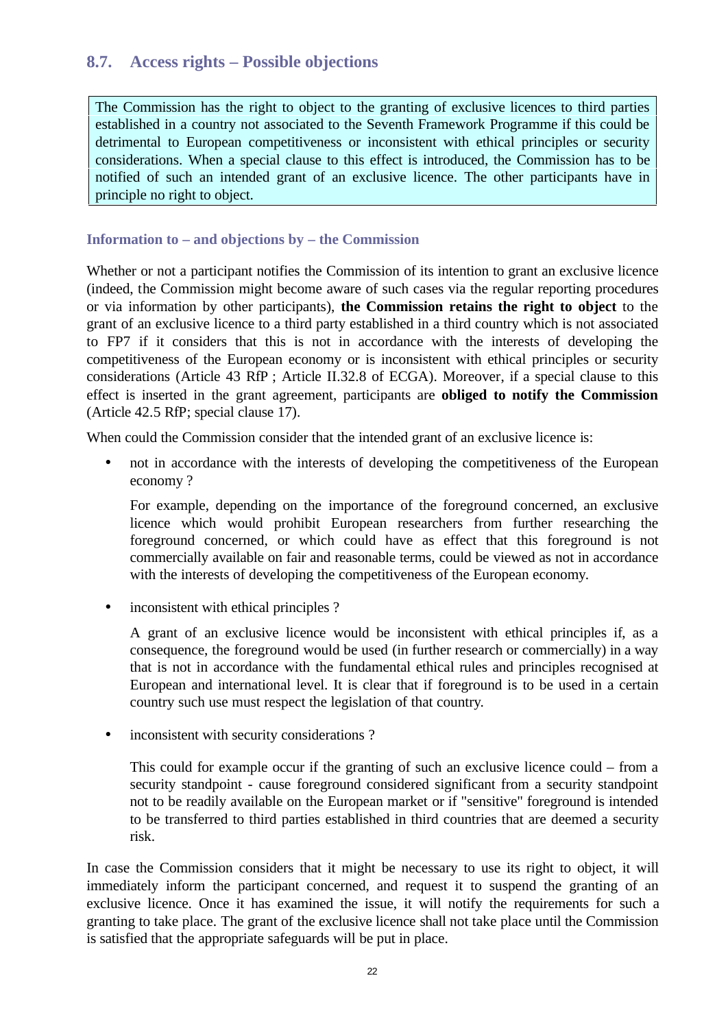#### **8.7. Access rights – Possible objections**

The Commission has the right to object to the granting of exclusive licences to third parties established in a country not associated to the Seventh Framework Programme if this could be detrimental to European competitiveness or inconsistent with ethical principles or security considerations. When a special clause to this effect is introduced, the Commission has to be notified of such an intended grant of an exclusive licence. The other participants have in principle no right to object.

#### **Information to – and objections by – the Commission**

Whether or not a participant notifies the Commission of its intention to grant an exclusive licence (indeed, the Commission might become aware of such cases via the regular reporting procedures or via information by other participants), **the Commission retains the right to object** to the grant of an exclusive licence to a third party established in a third country which is not associated to FP7 if it considers that this is not in accordance with the interests of developing the competitiveness of the European economy or is inconsistent with ethical principles or security considerations (Article 43 RfP ; Article II.32.8 of ECGA). Moreover, if a special clause to this effect is inserted in the grant agreement, participants are **obliged to notify the Commission** (Article 42.5 RfP; special clause 17).

When could the Commission consider that the intended grant of an exclusive licence is:

• not in accordance with the interests of developing the competitiveness of the European economy ?

For example, depending on the importance of the foreground concerned, an exclusive licence which would prohibit European researchers from further researching the foreground concerned, or which could have as effect that this foreground is not commercially available on fair and reasonable terms, could be viewed as not in accordance with the interests of developing the competitiveness of the European economy.

inconsistent with ethical principles ?

A grant of an exclusive licence would be inconsistent with ethical principles if, as a consequence, the foreground would be used (in further research or commercially) in a way that is not in accordance with the fundamental ethical rules and principles recognised at European and international level. It is clear that if foreground is to be used in a certain country such use must respect the legislation of that country.

• inconsistent with security considerations ?

This could for example occur if the granting of such an exclusive licence could – from a security standpoint - cause foreground considered significant from a security standpoint not to be readily available on the European market or if "sensitive" foreground is intended to be transferred to third parties established in third countries that are deemed a security risk.

In case the Commission considers that it might be necessary to use its right to object, it will immediately inform the participant concerned, and request it to suspend the granting of an exclusive licence. Once it has examined the issue, it will notify the requirements for such a granting to take place. The grant of the exclusive licence shall not take place until the Commission is satisfied that the appropriate safeguards will be put in place.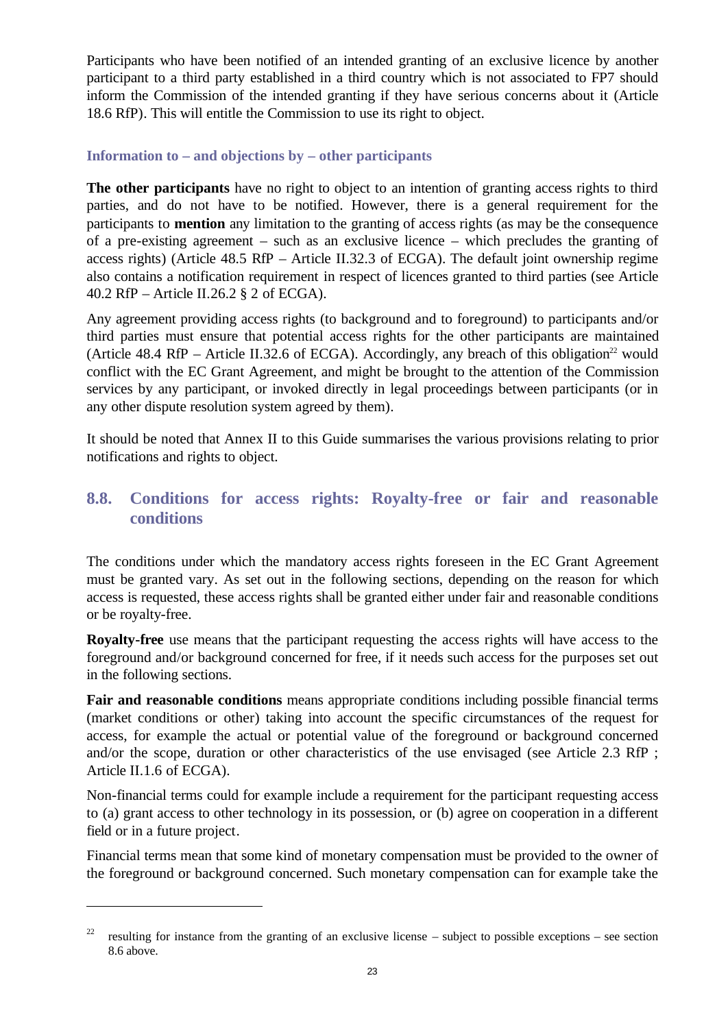Participants who have been notified of an intended granting of an exclusive licence by another participant to a third party established in a third country which is not associated to FP7 should inform the Commission of the intended granting if they have serious concerns about it (Article 18.6 RfP). This will entitle the Commission to use its right to object.

#### **Information to – and objections by – other participants**

**The other participants** have no right to object to an intention of granting access rights to third parties, and do not have to be notified. However, there is a general requirement for the participants to **mention** any limitation to the granting of access rights (as may be the consequence of a pre-existing agreement – such as an exclusive licence – which precludes the granting of access rights) (Article 48.5 RfP – Article II.32.3 of ECGA). The default joint ownership regime also contains a notification requirement in respect of licences granted to third parties (see Article 40.2 RfP – Article II.26.2 § 2 of ECGA).

Any agreement providing access rights (to background and to foreground) to participants and/or third parties must ensure that potential access rights for the other participants are maintained (Article 48.4 RfP – Article II.32.6 of ECGA). Accordingly, any breach of this obligation<sup>22</sup> would conflict with the EC Grant Agreement, and might be brought to the attention of the Commission services by any participant, or invoked directly in legal proceedings between participants (or in any other dispute resolution system agreed by them).

It should be noted that Annex II to this Guide summarises the various provisions relating to prior notifications and rights to object.

### **8.8. Conditions for access rights: Royalty-free or fair and reasonable conditions**

The conditions under which the mandatory access rights foreseen in the EC Grant Agreement must be granted vary. As set out in the following sections, depending on the reason for which access is requested, these access rights shall be granted either under fair and reasonable conditions or be royalty-free.

**Royalty-free** use means that the participant requesting the access rights will have access to the foreground and/or background concerned for free, if it needs such access for the purposes set out in the following sections.

**Fair and reasonable conditions** means appropriate conditions including possible financial terms (market conditions or other) taking into account the specific circumstances of the request for access, for example the actual or potential value of the foreground or background concerned and/or the scope, duration or other characteristics of the use envisaged (see Article 2.3 RfP ; Article II.1.6 of ECGA).

Non-financial terms could for example include a requirement for the participant requesting access to (a) grant access to other technology in its possession, or (b) agree on cooperation in a different field or in a future project.

Financial terms mean that some kind of monetary compensation must be provided to the owner of the foreground or background concerned. Such monetary compensation can for example take the

<sup>22</sup> resulting for instance from the granting of an exclusive license – subject to possible exceptions – see section 8.6 above.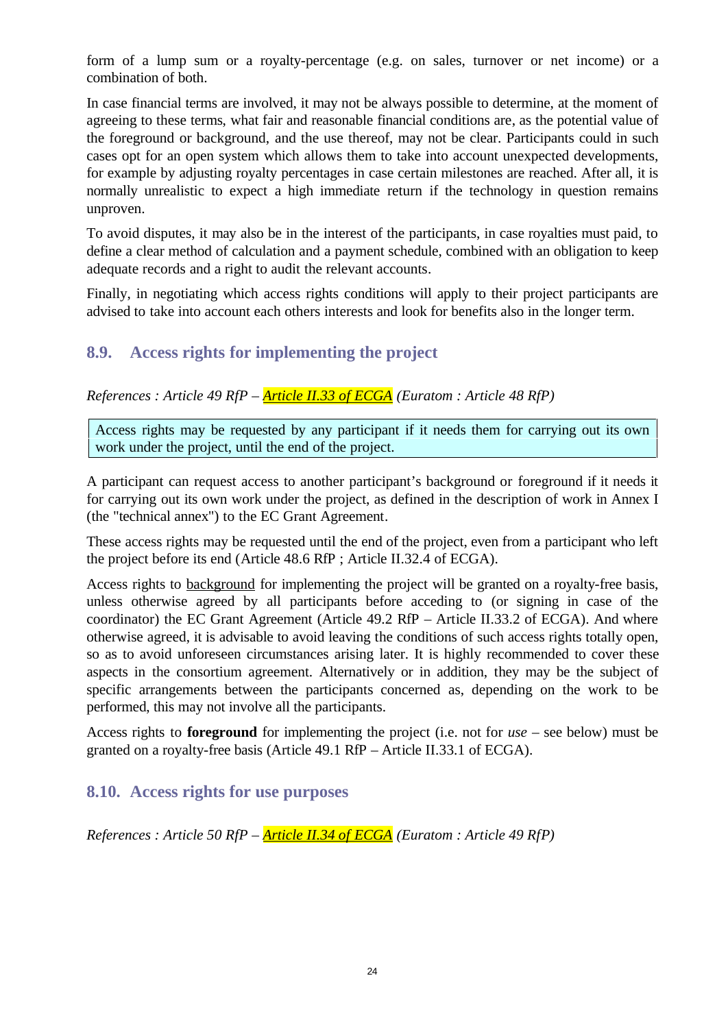form of a lump sum or a royalty-percentage (e.g. on sales, turnover or net income) or a combination of both.

In case financial terms are involved, it may not be always possible to determine, at the moment of agreeing to these terms, what fair and reasonable financial conditions are, as the potential value of the foreground or background, and the use thereof, may not be clear. Participants could in such cases opt for an open system which allows them to take into account unexpected developments, for example by adjusting royalty percentages in case certain milestones are reached. After all, it is normally unrealistic to expect a high immediate return if the technology in question remains unproven.

To avoid disputes, it may also be in the interest of the participants, in case royalties must paid, to define a clear method of calculation and a payment schedule, combined with an obligation to keep adequate records and a right to audit the relevant accounts.

Finally, in negotiating which access rights conditions will apply to their project participants are advised to take into account each others interests and look for benefits also in the longer term.

### **8.9. Access rights for implementing the project**

*References : Article 49 RfP – Article II.33 of ECGA (Euratom : Article 48 RfP)*

Access rights may be requested by any participant if it needs them for carrying out its own work under the project, until the end of the project.

A participant can request access to another participant's background or foreground if it needs it for carrying out its own work under the project, as defined in the description of work in Annex I (the "technical annex") to the EC Grant Agreement.

These access rights may be requested until the end of the project, even from a participant who left the project before its end (Article 48.6 RfP ; Article II.32.4 of ECGA).

Access rights to background for implementing the project will be granted on a royalty-free basis, unless otherwise agreed by all participants before acceding to (or signing in case of the coordinator) the EC Grant Agreement (Article 49.2 RfP – Article II.33.2 of ECGA). And where otherwise agreed, it is advisable to avoid leaving the conditions of such access rights totally open, so as to avoid unforeseen circumstances arising later. It is highly recommended to cover these aspects in the consortium agreement. Alternatively or in addition, they may be the subject of specific arrangements between the participants concerned as, depending on the work to be performed, this may not involve all the participants.

Access rights to **foreground** for implementing the project (i.e. not for *use* – see below) must be granted on a royalty-free basis (Article 49.1 RfP – Article II.33.1 of ECGA).

#### **8.10. Access rights for use purposes**

*References : Article 50 RfP – Article II.34 of ECGA (Euratom : Article 49 RfP)*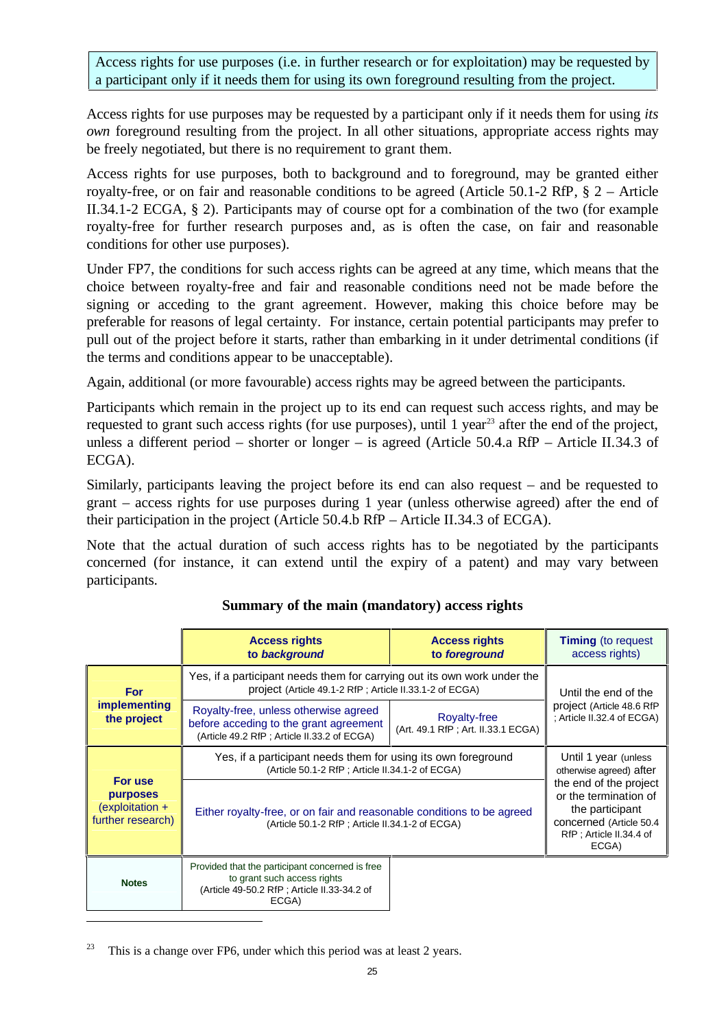Access rights for use purposes (i.e. in further research or for exploitation) may be requested by a participant only if it needs them for using its own foreground resulting from the project.

Access rights for use purposes may be requested by a participant only if it needs them for using *its own* foreground resulting from the project. In all other situations, appropriate access rights may be freely negotiated, but there is no requirement to grant them.

Access rights for use purposes, both to background and to foreground, may be granted either royalty-free, or on fair and reasonable conditions to be agreed (Article 50.1-2 RfP, § 2 – Article II.34.1-2 ECGA, § 2). Participants may of course opt for a combination of the two (for example royalty-free for further research purposes and, as is often the case, on fair and reasonable conditions for other use purposes).

Under FP7, the conditions for such access rights can be agreed at any time, which means that the choice between royalty-free and fair and reasonable conditions need not be made before the signing or acceding to the grant agreement. However, making this choice before may be preferable for reasons of legal certainty. For instance, certain potential participants may prefer to pull out of the project before it starts, rather than embarking in it under detrimental conditions (if the terms and conditions appear to be unacceptable).

Again, additional (or more favourable) access rights may be agreed between the participants.

Participants which remain in the project up to its end can request such access rights, and may be requested to grant such access rights (for use purposes), until 1 year<sup>23</sup> after the end of the project, unless a different period – shorter or longer – is agreed (Article 50.4.a RfP – Article II.34.3 of ECGA).

Similarly, participants leaving the project before its end can also request – and be requested to grant – access rights for use purposes during 1 year (unless otherwise agreed) after the end of their participation in the project (Article 50.4.b RfP – Article II.34.3 of ECGA).

Note that the actual duration of such access rights has to be negotiated by the participants concerned (for instance, it can extend until the expiry of a patent) and may vary between participants.

|                                                                               | <b>Access rights</b><br>to background                                                                                                  | <b>Access rights</b><br>to foreground                     | <b>Timing</b> (to request<br>access rights)                                                                                                                                          |
|-------------------------------------------------------------------------------|----------------------------------------------------------------------------------------------------------------------------------------|-----------------------------------------------------------|--------------------------------------------------------------------------------------------------------------------------------------------------------------------------------------|
| <b>For</b>                                                                    | Yes, if a participant needs them for carrying out its own work under the<br>project (Article 49.1-2 RfP; Article II.33.1-2 of ECGA)    | Until the end of the                                      |                                                                                                                                                                                      |
| <i>implementing</i><br>the project                                            | Royalty-free, unless otherwise agreed<br>before acceding to the grant agreement<br>(Article 49.2 RfP; Article II.33.2 of ECGA)         | <b>Royalty-free</b><br>(Art. 49.1 RfP; Art. II.33.1 ECGA) | project (Article 48.6 RfP<br>: Article II.32.4 of ECGA)                                                                                                                              |
|                                                                               | Yes, if a participant needs them for using its own foreground<br>(Article 50.1-2 RfP; Article II.34.1-2 of ECGA)                       |                                                           | Until 1 year (unless<br>otherwise agreed) after<br>the end of the project<br>or the termination of<br>the participant<br>concerned (Article 50.4<br>RfP; Article II.34.4 of<br>ECGA) |
| For use<br><b>purposes</b><br>$\epsilon$ (exploitation +<br>further research) | Either royalty-free, or on fair and reasonable conditions to be agreed<br>(Article 50.1-2 RfP; Article II.34.1-2 of ECGA)              |                                                           |                                                                                                                                                                                      |
| <b>Notes</b>                                                                  | Provided that the participant concerned is free<br>to grant such access rights<br>(Article 49-50.2 RfP; Article II.33-34.2 of<br>ECGA) |                                                           |                                                                                                                                                                                      |

#### **Summary of the main (mandatory) access rights**

 $23$  This is a change over FP6, under which this period was at least 2 years.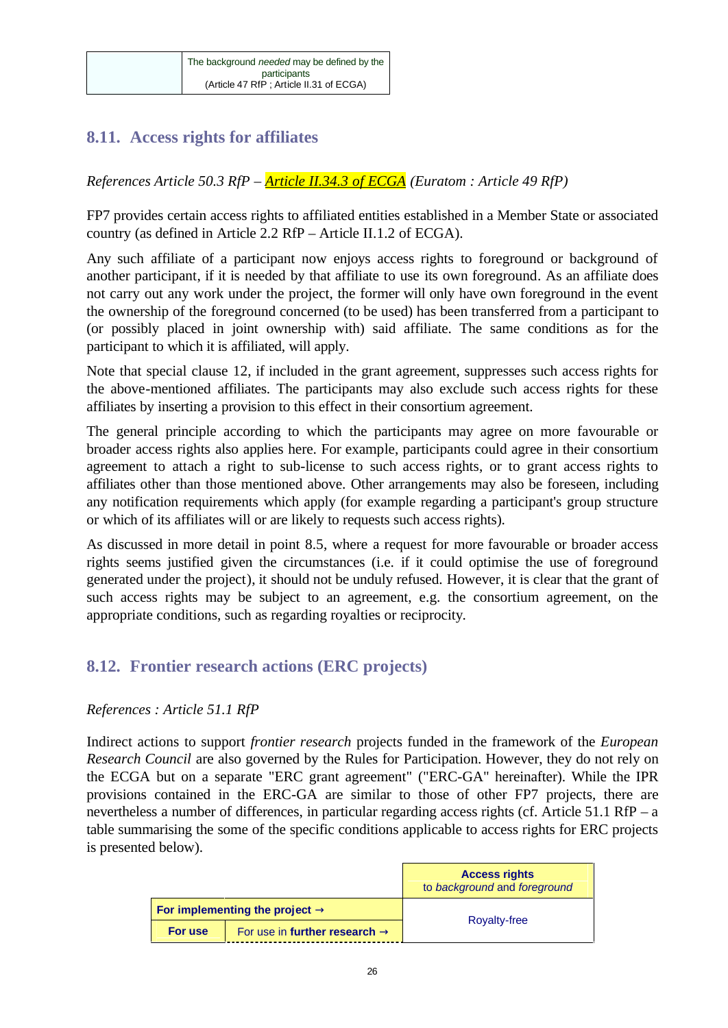### **8.11. Access rights for affiliates**

*References Article 50.3 RfP – Article II.34.3 of ECGA (Euratom : Article 49 RfP)*

FP7 provides certain access rights to affiliated entities established in a Member State or associated country (as defined in Article 2.2 RfP – Article II.1.2 of ECGA).

Any such affiliate of a participant now enjoys access rights to foreground or background of another participant, if it is needed by that affiliate to use its own foreground. As an affiliate does not carry out any work under the project, the former will only have own foreground in the event the ownership of the foreground concerned (to be used) has been transferred from a participant to (or possibly placed in joint ownership with) said affiliate. The same conditions as for the participant to which it is affiliated, will apply.

Note that special clause 12, if included in the grant agreement, suppresses such access rights for the above-mentioned affiliates. The participants may also exclude such access rights for these affiliates by inserting a provision to this effect in their consortium agreement.

The general principle according to which the participants may agree on more favourable or broader access rights also applies here. For example, participants could agree in their consortium agreement to attach a right to sub-license to such access rights, or to grant access rights to affiliates other than those mentioned above. Other arrangements may also be foreseen, including any notification requirements which apply (for example regarding a participant's group structure or which of its affiliates will or are likely to requests such access rights).

As discussed in more detail in point 8.5, where a request for more favourable or broader access rights seems justified given the circumstances (i.e. if it could optimise the use of foreground generated under the project), it should not be unduly refused. However, it is clear that the grant of such access rights may be subject to an agreement, e.g. the consortium agreement, on the appropriate conditions, such as regarding royalties or reciprocity.

### **8.12. Frontier research actions (ERC projects)**

#### *References : Article 51.1 RfP*

Indirect actions to support *frontier research* projects funded in the framework of the *European Research Council* are also governed by the Rules for Participation. However, they do not rely on the ECGA but on a separate "ERC grant agreement" ("ERC-GA" hereinafter). While the IPR provisions contained in the ERC-GA are similar to those of other FP7 projects, there are nevertheless a number of differences, in particular regarding access rights (cf. Article 51.1 RfP – a table summarising the some of the specific conditions applicable to access rights for ERC projects is presented below).

|         |                                            | <b>Access rights</b><br>to background and foreground |  |
|---------|--------------------------------------------|------------------------------------------------------|--|
|         | For implementing the project $\rightarrow$ | <b>Royalty-free</b>                                  |  |
| For use | For use in further research $\rightarrow$  |                                                      |  |
|         |                                            |                                                      |  |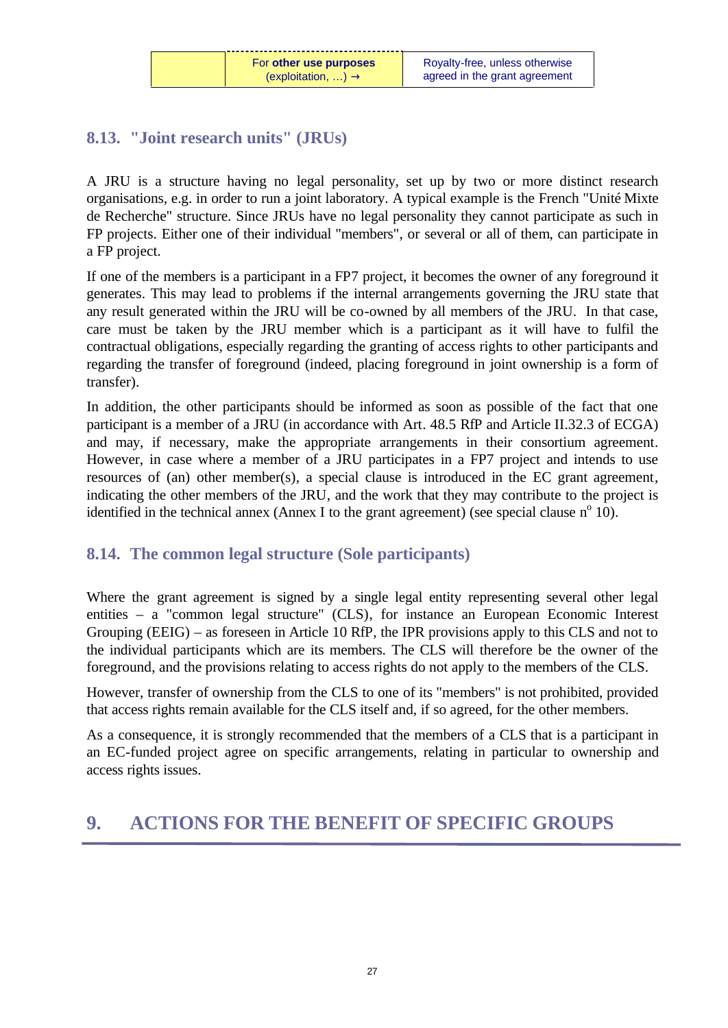### **8.13. "Joint research units" (JRUs)**

A JRU is a structure having no legal personality, set up by two or more distinct research organisations, e.g. in order to run a joint laboratory. A typical example is the French "Unité Mixte de Recherche" structure. Since JRUs have no legal personality they cannot participate as such in FP projects. Either one of their individual "members", or several or all of them, can participate in a FP project.

If one of the members is a participant in a FP7 project, it becomes the owner of any foreground it generates. This may lead to problems if the internal arrangements governing the JRU state that any result generated within the JRU will be co-owned by all members of the JRU. In that case, care must be taken by the JRU member which is a participant as it will have to fulfil the contractual obligations, especially regarding the granting of access rights to other participants and regarding the transfer of foreground (indeed, placing foreground in joint ownership is a form of transfer).

In addition, the other participants should be informed as soon as possible of the fact that one participant is a member of a JRU (in accordance with Art. 48.5 RfP and Article II.32.3 of ECGA) and may, if necessary, make the appropriate arrangements in their consortium agreement. However, in case where a member of a JRU participates in a FP7 project and intends to use resources of (an) other member(s), a special clause is introduced in the EC grant agreement, indicating the other members of the JRU, and the work that they may contribute to the project is identified in the technical annex (Annex I to the grant agreement) (see special clause  $n^{\circ}$  10).

### **8.14. The common legal structure (Sole participants)**

Where the grant agreement is signed by a single legal entity representing several other legal entities – a "common legal structure" (CLS), for instance an European Economic Interest Grouping (EEIG) – as foreseen in Article 10 RfP, the IPR provisions apply to this CLS and not to the individual participants which are its members. The CLS will therefore be the owner of the foreground, and the provisions relating to access rights do not apply to the members of the CLS.

However, transfer of ownership from the CLS to one of its "members" is not prohibited, provided that access rights remain available for the CLS itself and, if so agreed, for the other members.

As a consequence, it is strongly recommended that the members of a CLS that is a participant in an EC-funded project agree on specific arrangements, relating in particular to ownership and access rights issues.

## **9. ACTIONS FOR THE BENEFIT OF SPECIFIC GROUPS**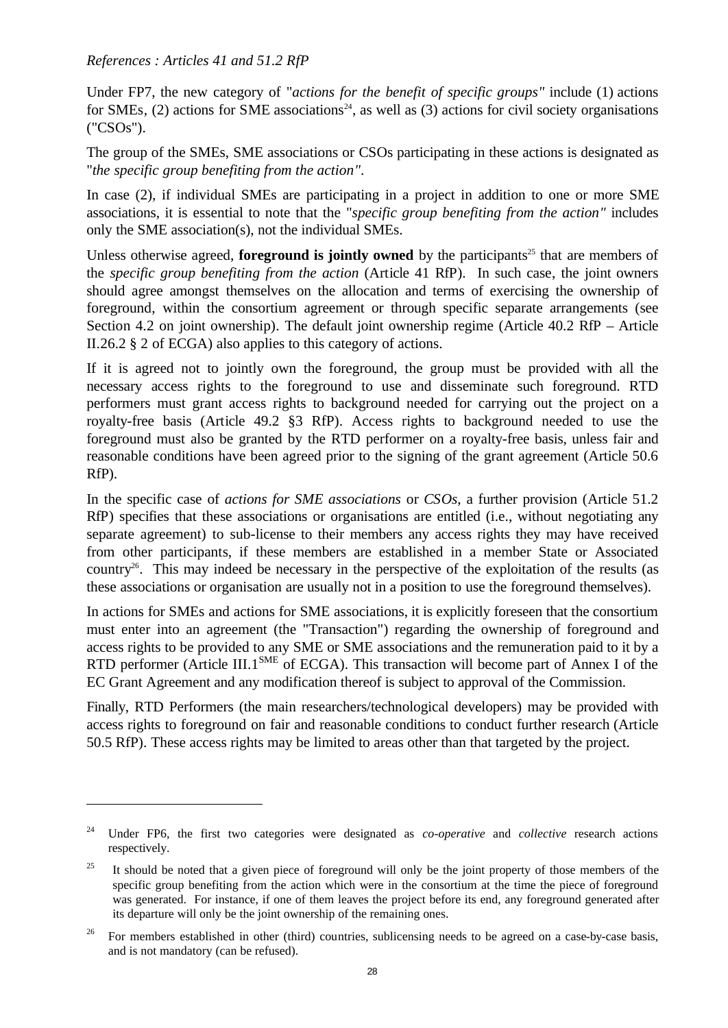#### *References : Articles 41 and 51.2 RfP*

<u>.</u>

Under FP7, the new category of "*actions for the benefit of specific groups"* include (1) actions for SMEs,  $(2)$  actions for SME associations<sup>24</sup>, as well as  $(3)$  actions for civil society organisations ("CSOs").

The group of the SMEs, SME associations or CSOs participating in these actions is designated as "*the specific group benefiting from the action"*.

In case (2), if individual SMEs are participating in a project in addition to one or more SME associations, it is essential to note that the "*specific group benefiting from the action"* includes only the SME association(s), not the individual SMEs.

Unless otherwise agreed, **foreground is jointly owned** by the participants<sup>25</sup> that are members of the *specific group benefiting from the action* (Article 41 RfP). In such case, the joint owners should agree amongst themselves on the allocation and terms of exercising the ownership of foreground, within the consortium agreement or through specific separate arrangements (see Section 4.2 on joint ownership). The default joint ownership regime (Article 40.2 RfP – Article II.26.2 § 2 of ECGA) also applies to this category of actions.

If it is agreed not to jointly own the foreground, the group must be provided with all the necessary access rights to the foreground to use and disseminate such foreground. RTD performers must grant access rights to background needed for carrying out the project on a royalty-free basis (Article 49.2 §3 RfP). Access rights to background needed to use the foreground must also be granted by the RTD performer on a royalty-free basis, unless fair and reasonable conditions have been agreed prior to the signing of the grant agreement (Article 50.6 RfP).

In the specific case of *actions for SME associations* or *CSOs*, a further provision (Article 51.2 RfP) specifies that these associations or organisations are entitled (i.e., without negotiating any separate agreement) to sub-license to their members any access rights they may have received from other participants, if these members are established in a member State or Associated country<sup>26</sup>. This may indeed be necessary in the perspective of the exploitation of the results (as these associations or organisation are usually not in a position to use the foreground themselves).

In actions for SMEs and actions for SME associations, it is explicitly foreseen that the consortium must enter into an agreement (the "Transaction") regarding the ownership of foreground and access rights to be provided to any SME or SME associations and the remuneration paid to it by a RTD performer (Article III.1<sup>SME</sup> of ECGA). This transaction will become part of Annex I of the EC Grant Agreement and any modification thereof is subject to approval of the Commission.

Finally, RTD Performers (the main researchers/technological developers) may be provided with access rights to foreground on fair and reasonable conditions to conduct further research (Article 50.5 RfP). These access rights may be limited to areas other than that targeted by the project.

<sup>24</sup> Under FP6, the first two categories were designated as *co-operative* and *collective* research actions respectively.

<sup>&</sup>lt;sup>25</sup> It should be noted that a given piece of foreground will only be the joint property of those members of the specific group benefiting from the action which were in the consortium at the time the piece of foreground was generated. For instance, if one of them leaves the project before its end, any foreground generated after its departure will only be the joint ownership of the remaining ones.

<sup>&</sup>lt;sup>26</sup> For members established in other (third) countries, sublicensing needs to be agreed on a case-by-case basis, and is not mandatory (can be refused).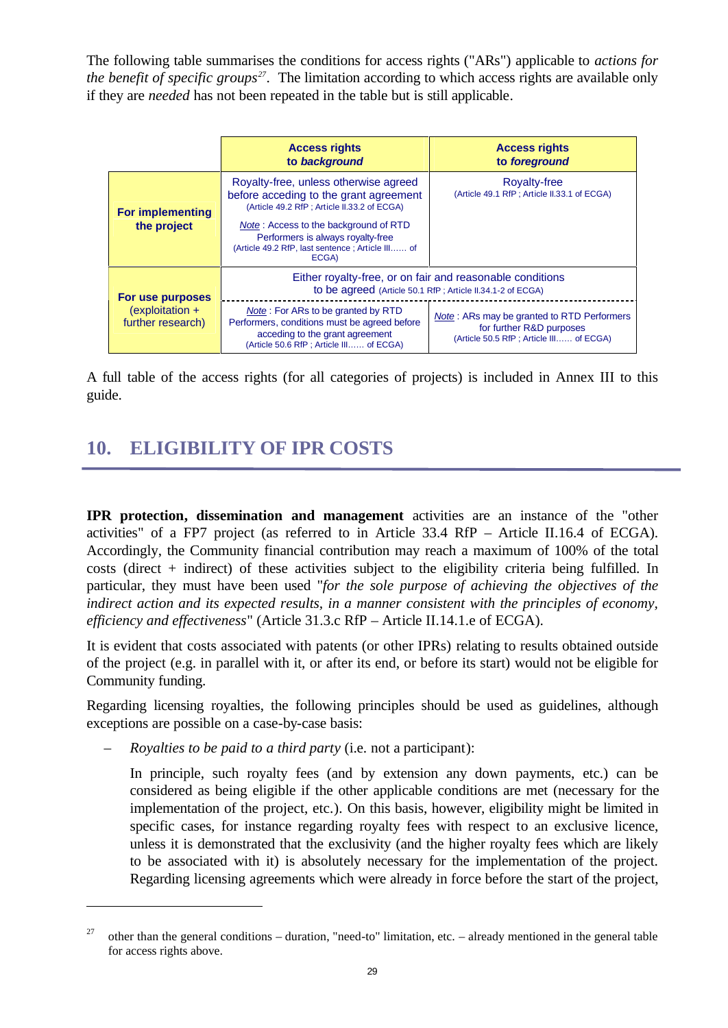The following table summarises the conditions for access rights ("ARs") applicable to *actions for the benefit of specific groups<sup>27</sup>* . The limitation according to which access rights are available only if they are *needed* has not been repeated in the table but is still applicable.

|                                        | <b>Access rights</b><br>to background                                                                                                                                                                                                                                      | <b>Access rights</b><br>to foreground                                                                             |  |
|----------------------------------------|----------------------------------------------------------------------------------------------------------------------------------------------------------------------------------------------------------------------------------------------------------------------------|-------------------------------------------------------------------------------------------------------------------|--|
| <b>For implementing</b><br>the project | Royalty-free, unless otherwise agreed<br>before acceding to the grant agreement<br>(Article 49.2 RfP; Article II.33.2 of ECGA)<br>Note: Access to the background of RTD<br>Performers is always royalty-free<br>(Article 49.2 RfP, last sentence ; Article III of<br>ECGA) | <b>Royalty-free</b><br>(Article 49.1 RfP; Article II.33.1 of ECGA)                                                |  |
| For use purposes                       | Either royalty-free, or on fair and reasonable conditions<br>to be agreed (Article 50.1 RfP; Article II.34.1-2 of ECGA)                                                                                                                                                    |                                                                                                                   |  |
| $(exploitation +$<br>further research) | <b>Note:</b> For ARs to be granted by RTD<br>Performers, conditions must be agreed before<br>acceding to the grant agreement<br>(Article 50.6 RfP; Article III of ECGA)                                                                                                    | Note: ARs may be granted to RTD Performers<br>for further R&D purposes<br>(Article 50.5 RfP; Article III of ECGA) |  |

A full table of the access rights (for all categories of projects) is included in Annex III to this guide.

## **10. ELIGIBILITY OF IPR COSTS**

**IPR protection, dissemination and management** activities are an instance of the "other activities" of a FP7 project (as referred to in Article 33.4 RfP – Article II.16.4 of ECGA). Accordingly, the Community financial contribution may reach a maximum of 100% of the total costs (direct + indirect) of these activities subject to the eligibility criteria being fulfilled. In particular, they must have been used "*for the sole purpose of achieving the objectives of the indirect action and its expected results, in a manner consistent with the principles of economy, efficiency and effectiveness*" (Article 31.3.c RfP – Article II.14.1.e of ECGA).

It is evident that costs associated with patents (or other IPRs) relating to results obtained outside of the project (e.g. in parallel with it, or after its end, or before its start) would not be eligible for Community funding.

Regarding licensing royalties, the following principles should be used as guidelines, although exceptions are possible on a case-by-case basis:

– *Royalties to be paid to a third party* (i.e. not a participant):

<u>.</u>

In principle, such royalty fees (and by extension any down payments, etc.) can be considered as being eligible if the other applicable conditions are met (necessary for the implementation of the project, etc.). On this basis, however, eligibility might be limited in specific cases, for instance regarding royalty fees with respect to an exclusive licence, unless it is demonstrated that the exclusivity (and the higher royalty fees which are likely to be associated with it) is absolutely necessary for the implementation of the project. Regarding licensing agreements which were already in force before the start of the project,

<sup>&</sup>lt;sup>27</sup> other than the general conditions – duration, "need-to" limitation, etc. – already mentioned in the general table for access rights above.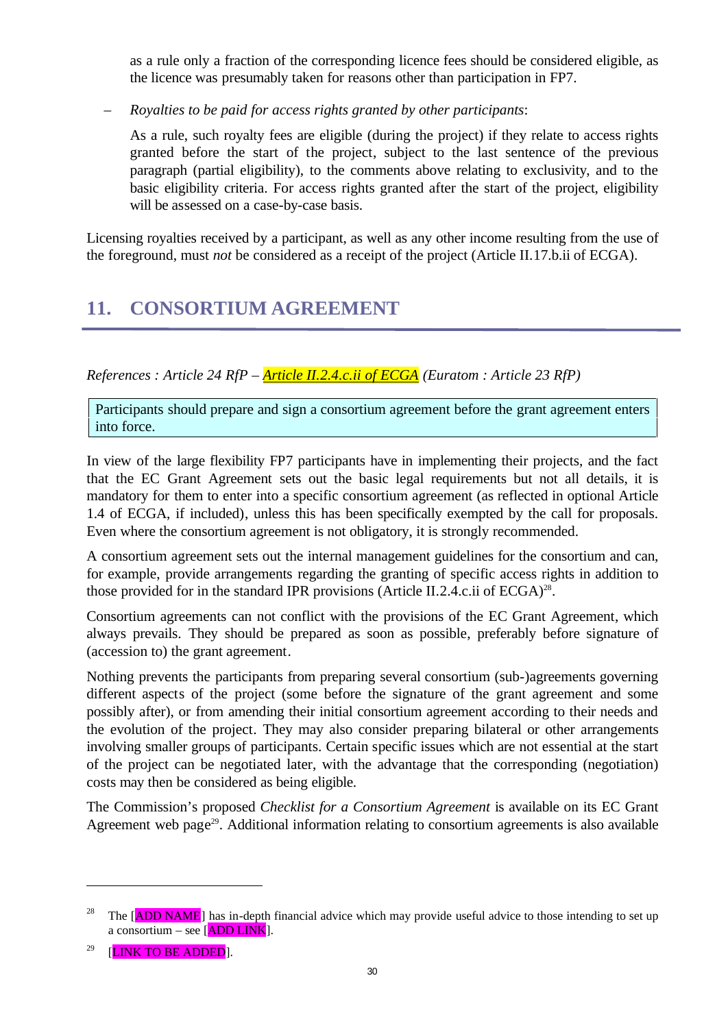as a rule only a fraction of the corresponding licence fees should be considered eligible, as the licence was presumably taken for reasons other than participation in FP7.

– *Royalties to be paid for access rights granted by other participants*:

As a rule, such royalty fees are eligible (during the project) if they relate to access rights granted before the start of the project, subject to the last sentence of the previous paragraph (partial eligibility), to the comments above relating to exclusivity, and to the basic eligibility criteria. For access rights granted after the start of the project, eligibility will be assessed on a case-by-case basis.

Licensing royalties received by a participant, as well as any other income resulting from the use of the foreground, must *not* be considered as a receipt of the project (Article II.17.b.ii of ECGA).

## **11. CONSORTIUM AGREEMENT**

*References : Article 24 RfP – Article II.2.4.c.ii of ECGA (Euratom : Article 23 RfP)*

Participants should prepare and sign a consortium agreement before the grant agreement enters into force.

In view of the large flexibility FP7 participants have in implementing their projects, and the fact that the EC Grant Agreement sets out the basic legal requirements but not all details, it is mandatory for them to enter into a specific consortium agreement (as reflected in optional Article 1.4 of ECGA, if included), unless this has been specifically exempted by the call for proposals. Even where the consortium agreement is not obligatory, it is strongly recommended.

A consortium agreement sets out the internal management guidelines for the consortium and can, for example, provide arrangements regarding the granting of specific access rights in addition to those provided for in the standard IPR provisions (Article II.2.4.c.ii of ECGA)<sup>28</sup>.

Consortium agreements can not conflict with the provisions of the EC Grant Agreement, which always prevails. They should be prepared as soon as possible, preferably before signature of (accession to) the grant agreement.

Nothing prevents the participants from preparing several consortium (sub-)agreements governing different aspects of the project (some before the signature of the grant agreement and some possibly after), or from amending their initial consortium agreement according to their needs and the evolution of the project. They may also consider preparing bilateral or other arrangements involving smaller groups of participants. Certain specific issues which are not essential at the start of the project can be negotiated later, with the advantage that the corresponding (negotiation) costs may then be considered as being eligible.

The Commission's proposed *Checklist for a Consortium Agreement* is available on its EC Grant Agreement web page<sup>29</sup>. Additional information relating to consortium agreements is also available

<sup>&</sup>lt;sup>28</sup> The [ADD NAME] has in-depth financial advice which may provide useful advice to those intending to set up a consortium – see  $[ADD LINK]$ .

 $29$  [LINK TO BE ADDED].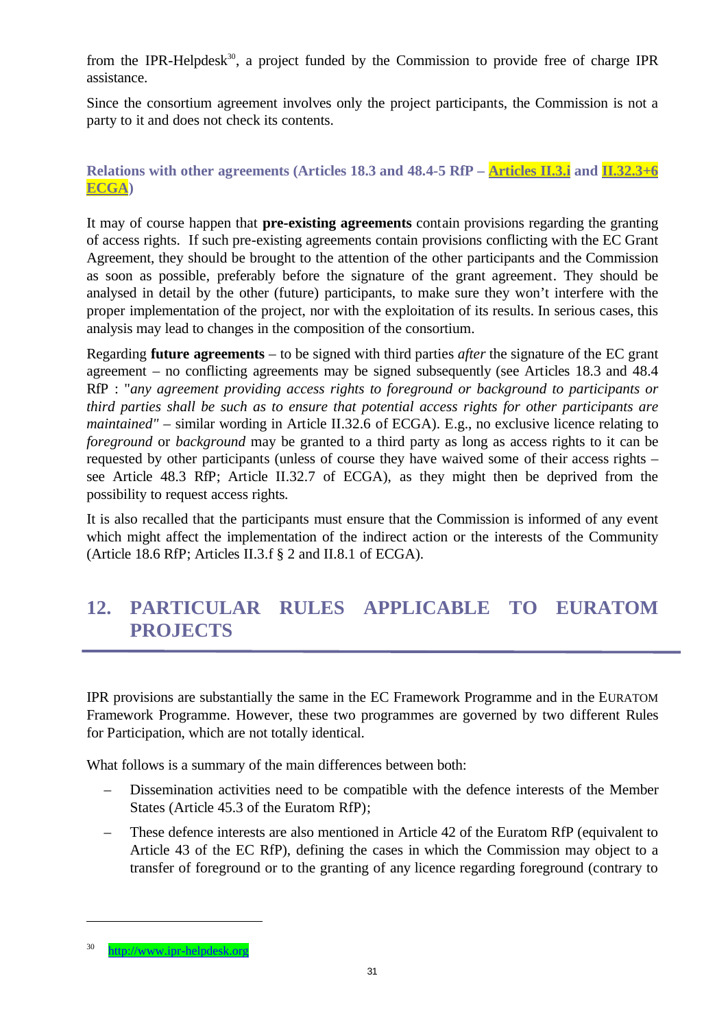from the IPR-Helpdesk<sup>30</sup>, a project funded by the Commission to provide free of charge IPR assistance.

Since the consortium agreement involves only the project participants, the Commission is not a party to it and does not check its contents.

#### **Relations with other agreements (Articles 18.3 and 48.4-5 RfP – Articles II.3.i and II.32.3+6 ECGA)**

It may of course happen that **pre-existing agreements** contain provisions regarding the granting of access rights. If such pre-existing agreements contain provisions conflicting with the EC Grant Agreement, they should be brought to the attention of the other participants and the Commission as soon as possible, preferably before the signature of the grant agreement. They should be analysed in detail by the other (future) participants, to make sure they won't interfere with the proper implementation of the project, nor with the exploitation of its results. In serious cases, this analysis may lead to changes in the composition of the consortium.

Regarding **future agreements** – to be signed with third parties *after* the signature of the EC grant agreement – no conflicting agreements may be signed subsequently (see Articles 18.3 and 48.4 RfP : "*any agreement providing access rights to foreground or background to participants or third parties shall be such as to ensure that potential access rights for other participants are maintained"* – similar wording in Article II.32.6 of ECGA). E.g., no exclusive licence relating to *foreground* or *background* may be granted to a third party as long as access rights to it can be requested by other participants (unless of course they have waived some of their access rights – see Article 48.3 RfP; Article II.32.7 of ECGA), as they might then be deprived from the possibility to request access rights.

It is also recalled that the participants must ensure that the Commission is informed of any event which might affect the implementation of the indirect action or the interests of the Community (Article 18.6 RfP; Articles II.3.f § 2 and II.8.1 of ECGA).

## **12. PARTICULAR RULES APPLICABLE TO EURATOM PROJECTS**

IPR provisions are substantially the same in the EC Framework Programme and in the EURATOM Framework Programme. However, these two programmes are governed by two different Rules for Participation, which are not totally identical.

What follows is a summary of the main differences between both:

- Dissemination activities need to be compatible with the defence interests of the Member States (Article 45.3 of the Euratom RfP);
- These defence interests are also mentioned in Article 42 of the Euratom RfP (equivalent to Article 43 of the EC RfP), defining the cases in which the Commission may object to a transfer of foreground or to the granting of any licence regarding foreground (contrary to

<sup>30</sup> http://www.ipr-helpdesk.org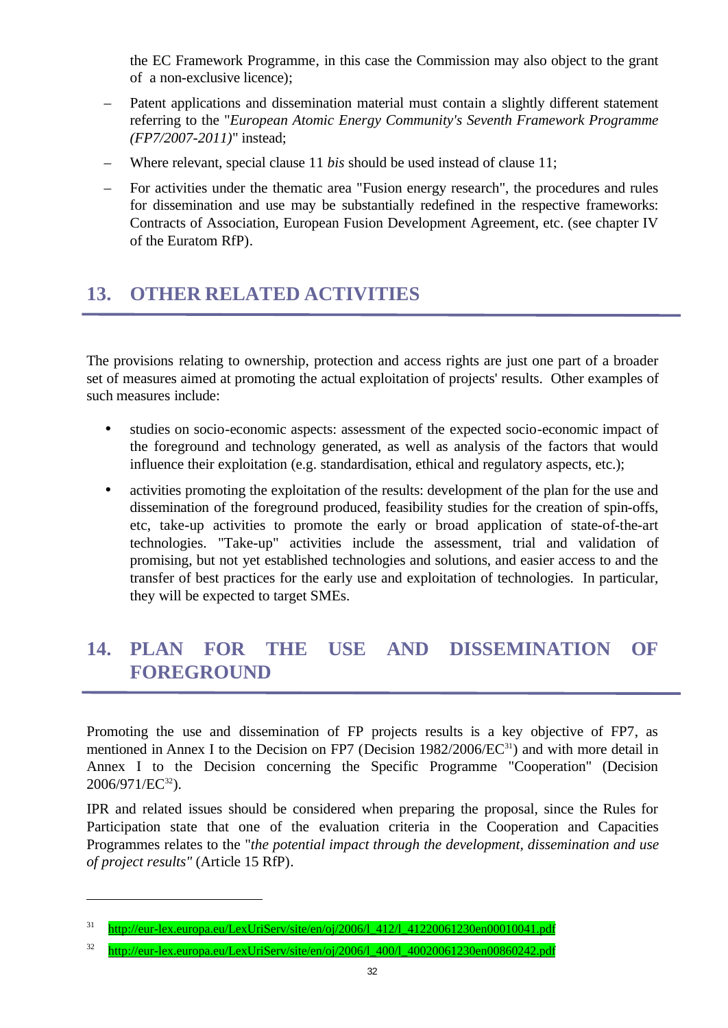the EC Framework Programme, in this case the Commission may also object to the grant of a non-exclusive licence);

- Patent applications and dissemination material must contain a slightly different statement referring to the "*European Atomic Energy Community's Seventh Framework Programme (FP7/2007-2011)*" instead;
- Where relevant, special clause 11 *bis* should be used instead of clause 11;
- For activities under the thematic area "Fusion energy research", the procedures and rules for dissemination and use may be substantially redefined in the respective frameworks: Contracts of Association, European Fusion Development Agreement, etc. (see chapter IV of the Euratom RfP).

# **13. OTHER RELATED ACTIVITIES**

The provisions relating to ownership, protection and access rights are just one part of a broader set of measures aimed at promoting the actual exploitation of projects' results. Other examples of such measures include:

- studies on socio-economic aspects: assessment of the expected socio-economic impact of the foreground and technology generated, as well as analysis of the factors that would influence their exploitation (e.g. standardisation, ethical and regulatory aspects, etc.);
- activities promoting the exploitation of the results: development of the plan for the use and dissemination of the foreground produced, feasibility studies for the creation of spin-offs, etc, take-up activities to promote the early or broad application of state-of-the-art technologies. "Take-up" activities include the assessment, trial and validation of promising, but not yet established technologies and solutions, and easier access to and the transfer of best practices for the early use and exploitation of technologies. In particular, they will be expected to target SMEs.

## **14. PLAN FOR THE USE AND DISSEMINATION OF FOREGROUND**

Promoting the use and dissemination of FP projects results is a key objective of FP7, as mentioned in Annex I to the Decision on FP7 (Decision 1982/2006/EC<sup>31</sup>) and with more detail in Annex I to the Decision concerning the Specific Programme "Cooperation" (Decision 2006/971/EC<sup>32</sup>).

IPR and related issues should be considered when preparing the proposal, since the Rules for Participation state that one of the evaluation criteria in the Cooperation and Capacities Programmes relates to the "*the potential impact through the development, dissemination and use of project results"* (Article 15 RfP).

<sup>&</sup>lt;sup>31</sup> http://eur-lex.europa.eu/LexUriServ/site/en/oj/2006/1\_412/l\_41220061230en00010041.pdf

<sup>32</sup> http://eur-lex.europa.eu/LexUriServ/site/en/oj/2006/l\_400/l\_40020061230en00860242.pdf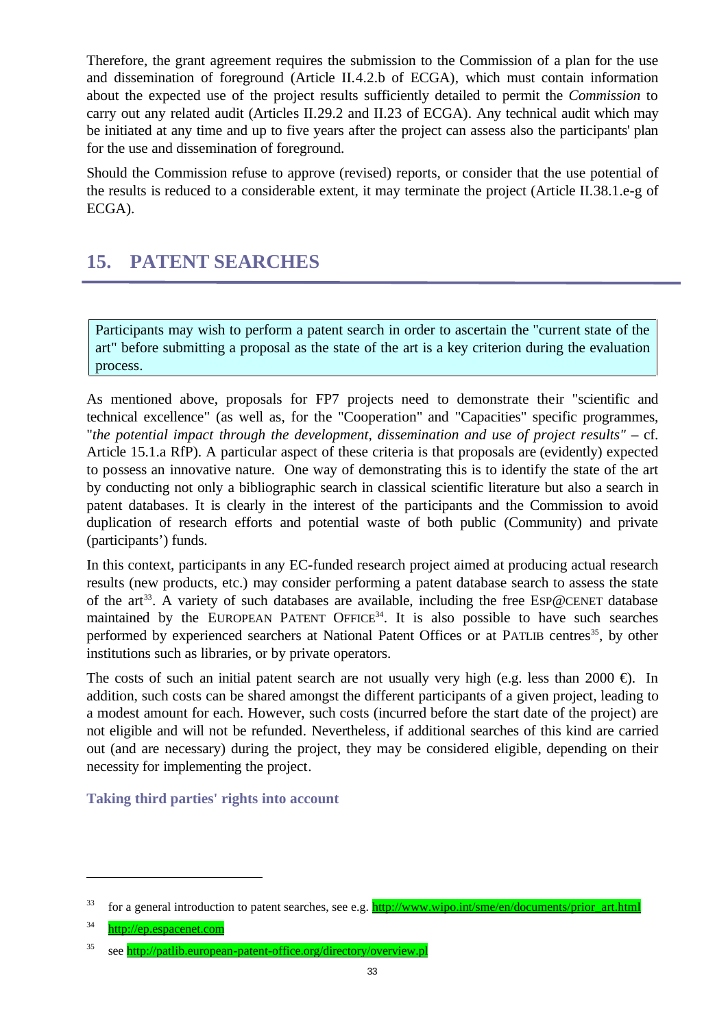Therefore, the grant agreement requires the submission to the Commission of a plan for the use and dissemination of foreground (Article II.4.2.b of ECGA), which must contain information about the expected use of the project results sufficiently detailed to permit the *Commission* to carry out any related audit (Articles II.29.2 and II.23 of ECGA). Any technical audit which may be initiated at any time and up to five years after the project can assess also the participants' plan for the use and dissemination of foreground.

Should the Commission refuse to approve (revised) reports, or consider that the use potential of the results is reduced to a considerable extent, it may terminate the project (Article II.38.1.e-g of ECGA).

## **15. PATENT SEARCHES**

Participants may wish to perform a patent search in order to ascertain the "current state of the art" before submitting a proposal as the state of the art is a key criterion during the evaluation process.

As mentioned above, proposals for FP7 projects need to demonstrate their "scientific and technical excellence" (as well as, for the "Cooperation" and "Capacities" specific programmes, "*the potential impact through the development, dissemination and use of project results"* – cf. Article 15.1.a RfP). A particular aspect of these criteria is that proposals are (evidently) expected to possess an innovative nature. One way of demonstrating this is to identify the state of the art by conducting not only a bibliographic search in classical scientific literature but also a search in patent databases. It is clearly in the interest of the participants and the Commission to avoid duplication of research efforts and potential waste of both public (Community) and private (participants') funds.

In this context, participants in any EC-funded research project aimed at producing actual research results (new products, etc.) may consider performing a patent database search to assess the state of the art<sup>33</sup>. A variety of such databases are available, including the free ESP@CENET database maintained by the EUROPEAN PATENT OFFICE<sup>34</sup>. It is also possible to have such searches performed by experienced searchers at National Patent Offices or at PATLIB centres<sup>35</sup>, by other institutions such as libraries, or by private operators.

The costs of such an initial patent search are not usually very high (e.g. less than 2000  $\oplus$ ). In addition, such costs can be shared amongst the different participants of a given project, leading to a modest amount for each. However, such costs (incurred before the start date of the project) are not eligible and will not be refunded. Nevertheless, if additional searches of this kind are carried out (and are necessary) during the project, they may be considered eligible, depending on their necessity for implementing the project.

**Taking third parties' rights into account**

<sup>&</sup>lt;sup>33</sup> for a general introduction to patent searches, see e.g. **http://www.wipo.int/sme/en/documents/prior\_art.html** 

<sup>34</sup> http://ep.espacenet.com

<sup>35</sup> see http://patlib.european-patent-office.org/directory/overview.pl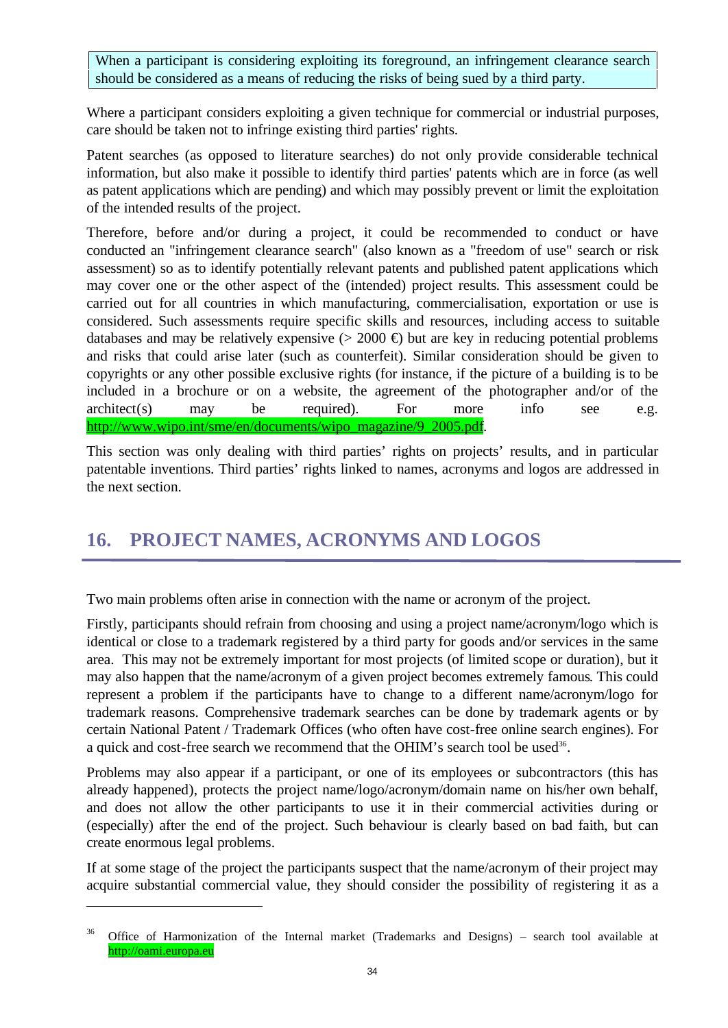When a participant is considering exploiting its foreground, an infringement clearance search should be considered as a means of reducing the risks of being sued by a third party.

Where a participant considers exploiting a given technique for commercial or industrial purposes, care should be taken not to infringe existing third parties' rights.

Patent searches (as opposed to literature searches) do not only provide considerable technical information, but also make it possible to identify third parties' patents which are in force (as well as patent applications which are pending) and which may possibly prevent or limit the exploitation of the intended results of the project.

Therefore, before and/or during a project, it could be recommended to conduct or have conducted an "infringement clearance search" (also known as a "freedom of use" search or risk assessment) so as to identify potentially relevant patents and published patent applications which may cover one or the other aspect of the (intended) project results. This assessment could be carried out for all countries in which manufacturing, commercialisation, exportation or use is considered. Such assessments require specific skills and resources, including access to suitable databases and may be relatively expensive  $(> 2000 \oplus)$  but are key in reducing potential problems and risks that could arise later (such as counterfeit). Similar consideration should be given to copyrights or any other possible exclusive rights (for instance, if the picture of a building is to be included in a brochure or on a website, the agreement of the photographer and/or of the architect(s) may be required). For more info see e.g. http://www.wipo.int/sme/en/documents/wipo\_magazine/9\_2005.pdf.

This section was only dealing with third parties' rights on projects' results, and in particular patentable inventions. Third parties' rights linked to names, acronyms and logos are addressed in the next section.

## **16. PROJECT NAMES, ACRONYMS AND LOGOS**

Two main problems often arise in connection with the name or acronym of the project.

Firstly, participants should refrain from choosing and using a project name/acronym/logo which is identical or close to a trademark registered by a third party for goods and/or services in the same area. This may not be extremely important for most projects (of limited scope or duration), but it may also happen that the name/acronym of a given project becomes extremely famous. This could represent a problem if the participants have to change to a different name/acronym/logo for trademark reasons. Comprehensive trademark searches can be done by trademark agents or by certain National Patent / Trademark Offices (who often have cost-free online search engines). For a quick and cost-free search we recommend that the OHIM's search tool be used<sup>36</sup>.

Problems may also appear if a participant, or one of its employees or subcontractors (this has already happened), protects the project name/logo/acronym/domain name on his/her own behalf, and does not allow the other participants to use it in their commercial activities during or (especially) after the end of the project. Such behaviour is clearly based on bad faith, but can create enormous legal problems.

If at some stage of the project the participants suspect that the name/acronym of their project may acquire substantial commercial value, they should consider the possibility of registering it as a

<sup>&</sup>lt;sup>36</sup> Office of Harmonization of the Internal market (Trademarks and Designs) – search tool available at http://oami.europa.eu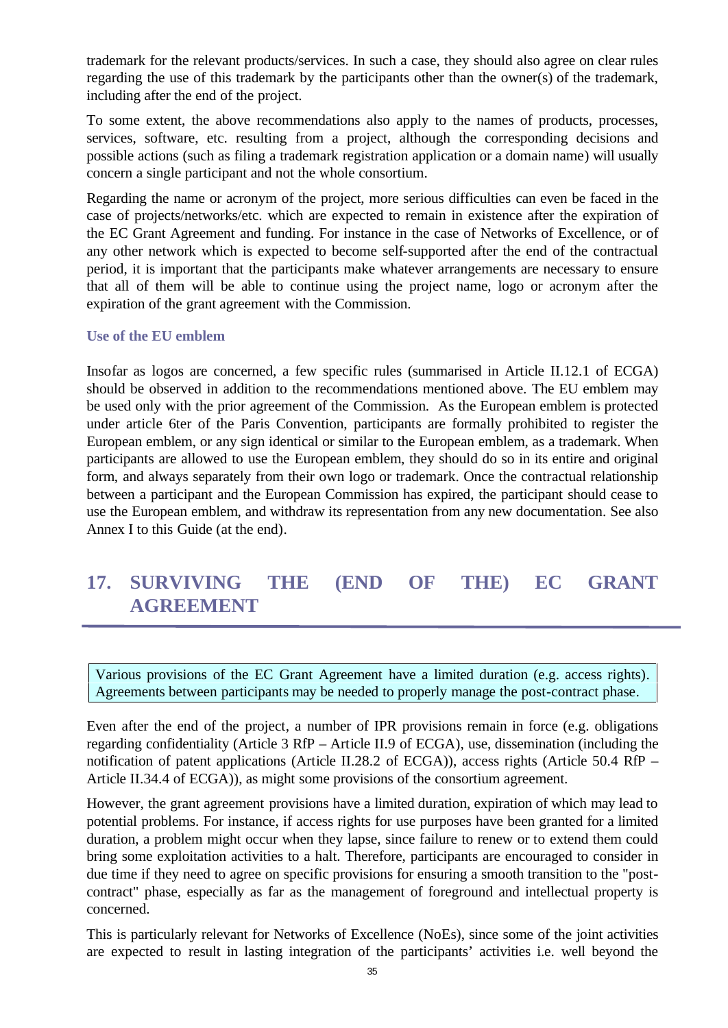trademark for the relevant products/services. In such a case, they should also agree on clear rules regarding the use of this trademark by the participants other than the owner(s) of the trademark, including after the end of the project.

To some extent, the above recommendations also apply to the names of products, processes, services, software, etc. resulting from a project, although the corresponding decisions and possible actions (such as filing a trademark registration application or a domain name) will usually concern a single participant and not the whole consortium.

Regarding the name or acronym of the project, more serious difficulties can even be faced in the case of projects/networks/etc. which are expected to remain in existence after the expiration of the EC Grant Agreement and funding. For instance in the case of Networks of Excellence, or of any other network which is expected to become self-supported after the end of the contractual period, it is important that the participants make whatever arrangements are necessary to ensure that all of them will be able to continue using the project name, logo or acronym after the expiration of the grant agreement with the Commission.

#### **Use of the EU emblem**

Insofar as logos are concerned, a few specific rules (summarised in Article II.12.1 of ECGA) should be observed in addition to the recommendations mentioned above. The EU emblem may be used only with the prior agreement of the Commission. As the European emblem is protected under article 6ter of the Paris Convention, participants are formally prohibited to register the European emblem, or any sign identical or similar to the European emblem, as a trademark. When participants are allowed to use the European emblem, they should do so in its entire and original form, and always separately from their own logo or trademark. Once the contractual relationship between a participant and the European Commission has expired, the participant should cease to use the European emblem, and withdraw its representation from any new documentation. See also Annex I to this Guide (at the end).

## **17. SURVIVING THE (END OF THE) EC GRANT AGREEMENT**

Various provisions of the EC Grant Agreement have a limited duration (e.g. access rights). Agreements between participants may be needed to properly manage the post-contract phase.

Even after the end of the project, a number of IPR provisions remain in force (e.g. obligations regarding confidentiality (Article 3 RfP – Article II.9 of ECGA), use, dissemination (including the notification of patent applications (Article II.28.2 of ECGA)), access rights (Article 50.4 RfP – Article II.34.4 of ECGA)), as might some provisions of the consortium agreement.

However, the grant agreement provisions have a limited duration, expiration of which may lead to potential problems. For instance, if access rights for use purposes have been granted for a limited duration, a problem might occur when they lapse, since failure to renew or to extend them could bring some exploitation activities to a halt. Therefore, participants are encouraged to consider in due time if they need to agree on specific provisions for ensuring a smooth transition to the "postcontract" phase, especially as far as the management of foreground and intellectual property is concerned.

This is particularly relevant for Networks of Excellence (NoEs), since some of the joint activities are expected to result in lasting integration of the participants' activities i.e. well beyond the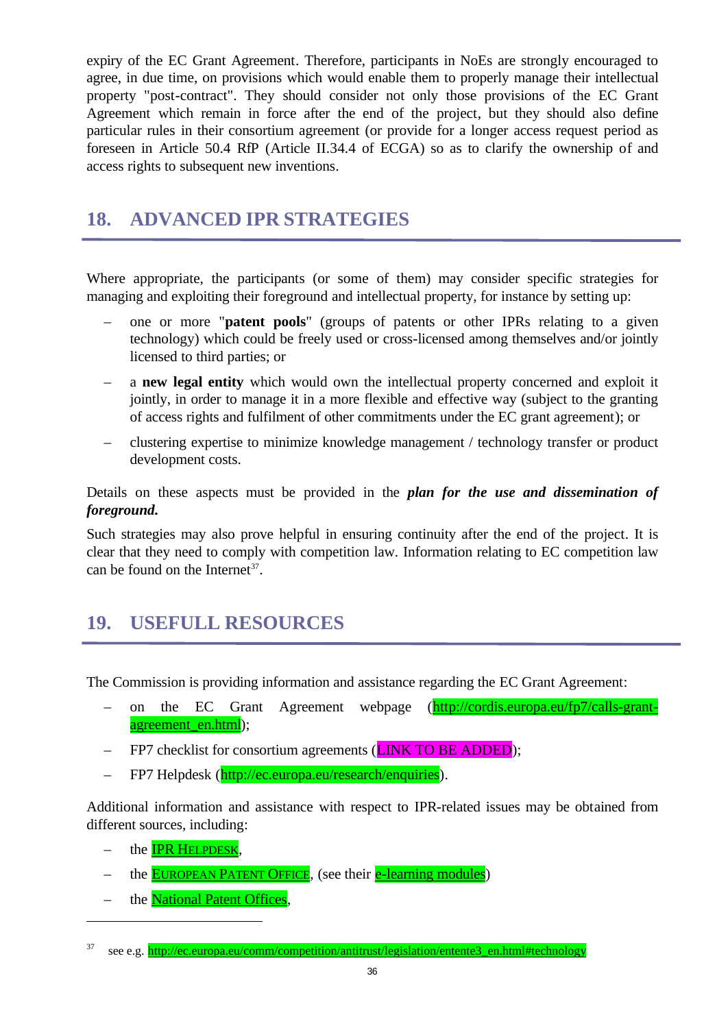expiry of the EC Grant Agreement. Therefore, participants in NoEs are strongly encouraged to agree, in due time, on provisions which would enable them to properly manage their intellectual property "post-contract". They should consider not only those provisions of the EC Grant Agreement which remain in force after the end of the project, but they should also define particular rules in their consortium agreement (or provide for a longer access request period as foreseen in Article 50.4 RfP (Article II.34.4 of ECGA) so as to clarify the ownership of and access rights to subsequent new inventions.

## **18. ADVANCED IPR STRATEGIES**

Where appropriate, the participants (or some of them) may consider specific strategies for managing and exploiting their foreground and intellectual property, for instance by setting up:

- one or more "**patent pools**" (groups of patents or other IPRs relating to a given technology) which could be freely used or cross-licensed among themselves and/or jointly licensed to third parties; or
- a **new legal entity** which would own the intellectual property concerned and exploit it jointly, in order to manage it in a more flexible and effective way (subject to the granting of access rights and fulfilment of other commitments under the EC grant agreement); or
- clustering expertise to minimize knowledge management / technology transfer or product development costs.

Details on these aspects must be provided in the *plan for the use and dissemination of foreground.*

Such strategies may also prove helpful in ensuring continuity after the end of the project. It is clear that they need to comply with competition law. Information relating to EC competition law can be found on the Internet<sup>37</sup>.

## **19. USEFULL RESOURCES**

The Commission is providing information and assistance regarding the EC Grant Agreement:

- on the EC Grant Agreement webpage (http://cordis.europa.eu/fp7/calls-grantagreement\_en.html);
- FP7 checklist for consortium agreements (**LINK TO BE ADDED**);
- FP7 Helpdesk (http://ec.europa.eu/research/enquiries).

Additional information and assistance with respect to IPR-related issues may be obtained from different sources, including:

– the **IPR HELPDESK**,

- the **EUROPEAN PATENT OFFICE**, (see their **e-learning modules**)
- the **National Patent Offices**,

<sup>&</sup>lt;sup>37</sup> see e.g. http://ec.europa.eu/comm/competition/antitrust/legislation/entente3\_en.html#technology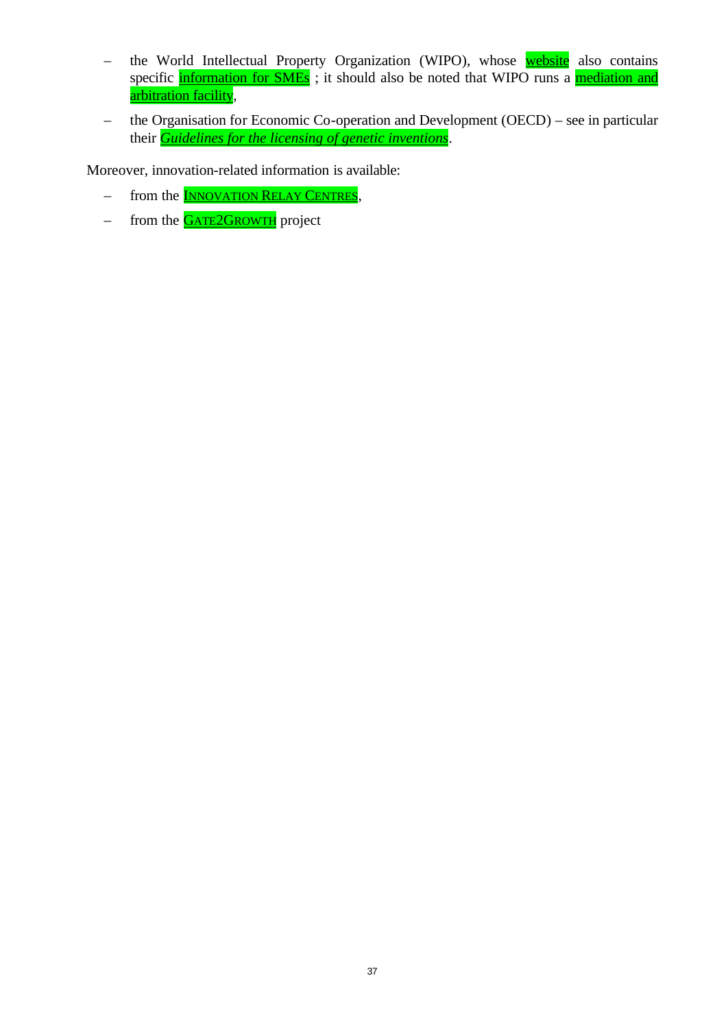- the World Intellectual Property Organization (WIPO), whose website also contains specific information for SMEs ; it should also be noted that WIPO runs a mediation and arbitration facility,
- the Organisation for Economic Co-operation and Development (OECD) see in particular their *Guidelines for the licensing of genetic inventions*.

Moreover, innovation-related information is available:

- from the **INNOVATION RELAY CENTRES**,
- from the **GATE2GROWTH** project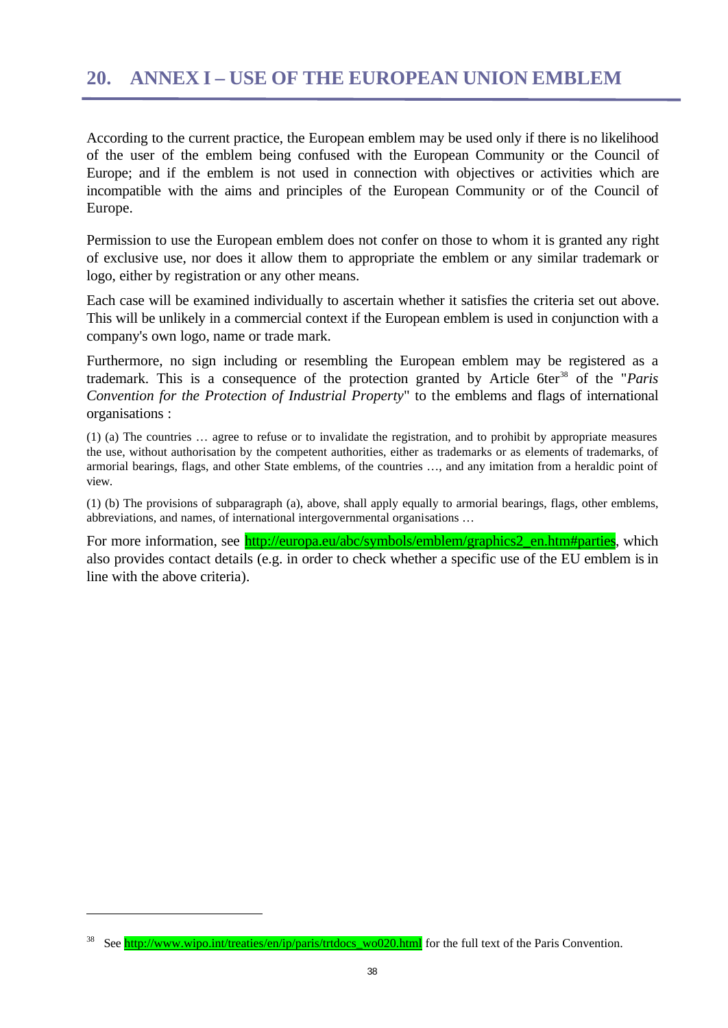According to the current practice, the European emblem may be used only if there is no likelihood of the user of the emblem being confused with the European Community or the Council of Europe; and if the emblem is not used in connection with objectives or activities which are incompatible with the aims and principles of the European Community or of the Council of Europe.

Permission to use the European emblem does not confer on those to whom it is granted any right of exclusive use, nor does it allow them to appropriate the emblem or any similar trademark or logo, either by registration or any other means.

Each case will be examined individually to ascertain whether it satisfies the criteria set out above. This will be unlikely in a commercial context if the European emblem is used in conjunction with a company's own logo, name or trade mark.

Furthermore, no sign including or resembling the European emblem may be registered as a trademark. This is a consequence of the protection granted by Article 6ter<sup>38</sup> of the "*Paris Convention for the Protection of Industrial Property*" to the emblems and flags of international organisations :

(1) (a) The countries … agree to refuse or to invalidate the registration, and to prohibit by appropriate measures the use, without authorisation by the competent authorities, either as trademarks or as elements of trademarks, of armorial bearings, flags, and other State emblems, of the countries …, and any imitation from a heraldic point of view.

(1) (b) The provisions of subparagraph (a), above, shall apply equally to armorial bearings, flags, other emblems, abbreviations, and names, of international intergovernmental organisations …

For more information, see http://europa.eu/abc/symbols/emblem/graphics2\_en.htm#parties, which also provides contact details (e.g. in order to check whether a specific use of the EU emblem is in line with the above criteria).

See http://www.wipo.int/treaties/en/ip/paris/trtdocs\_wo020.html for the full text of the Paris Convention.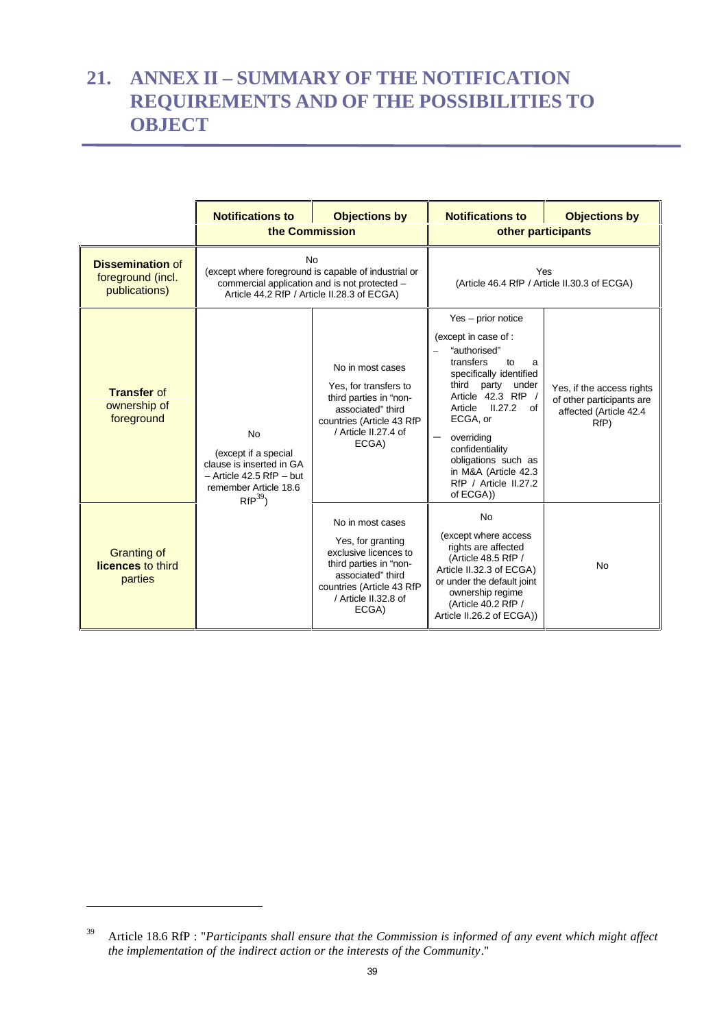## **21. ANNEX II – SUMMARY OF THE NOTIFICATION REQUIREMENTS AND OF THE POSSIBILITIES TO OBJECT**

|                                                               | <b>Notifications to</b><br>the Commission                                                                                            | <b>Objections by</b>                                                                                                                                                        | <b>Notifications to</b><br>other participants                                                                                                                                                                                                                                                                       | <b>Objections by</b>                                                                     |  |
|---------------------------------------------------------------|--------------------------------------------------------------------------------------------------------------------------------------|-----------------------------------------------------------------------------------------------------------------------------------------------------------------------------|---------------------------------------------------------------------------------------------------------------------------------------------------------------------------------------------------------------------------------------------------------------------------------------------------------------------|------------------------------------------------------------------------------------------|--|
| <b>Dissemination of</b><br>foreground (incl.<br>publications) |                                                                                                                                      | <b>No</b><br>(except where foreground is capable of industrial or<br>commercial application and is not protected -<br>Article 44.2 RfP / Article II.28.3 of ECGA)           |                                                                                                                                                                                                                                                                                                                     | Yes<br>(Article 46.4 RfP / Article II.30.3 of ECGA)                                      |  |
| <b>Transfer of</b><br>ownership of<br>foreground              | <b>No</b><br>(except if a special<br>clause is inserted in GA<br>$-$ Article 42.5 RfP $-$ but<br>remember Article 18.6<br>$RfP^{39}$ | No in most cases<br>Yes, for transfers to<br>third parties in "non-<br>associated" third<br>countries (Article 43 RfP<br>/ Article II.27.4 of<br>ECGA)                      | Yes - prior notice<br>(except in case of :<br>"authorised"<br>transfers<br>to<br>a<br>specifically identified<br>third party under<br>Article 42.3 RfP /<br>Article II.27.2<br>of<br>ECGA, or<br>overriding<br>confidentiality<br>obligations such as<br>in M&A (Article 42.3<br>RfP / Article II.27.2<br>of ECGA)) | Yes, if the access rights<br>of other participants are<br>affected (Article 42.4<br>RfP) |  |
| <b>Granting of</b><br>licences to third<br>parties            |                                                                                                                                      | No in most cases<br>Yes, for granting<br>exclusive licences to<br>third parties in "non-<br>associated" third<br>countries (Article 43 RfP<br>/ Article II.32.8 of<br>ECGA) | <b>No</b><br>(except where access<br>rights are affected<br>(Article 48.5 RfP /<br>Article II.32.3 of ECGA)<br>or under the default joint<br>ownership regime<br>(Article 40.2 RfP /<br>Article II.26.2 of ECGA))                                                                                                   | <b>No</b>                                                                                |  |

<sup>39</sup> Article 18.6 RfP : "*Participants shall ensure that the Commission is informed of any event which might affect the implementation of the indirect action or the interests of the Community*."